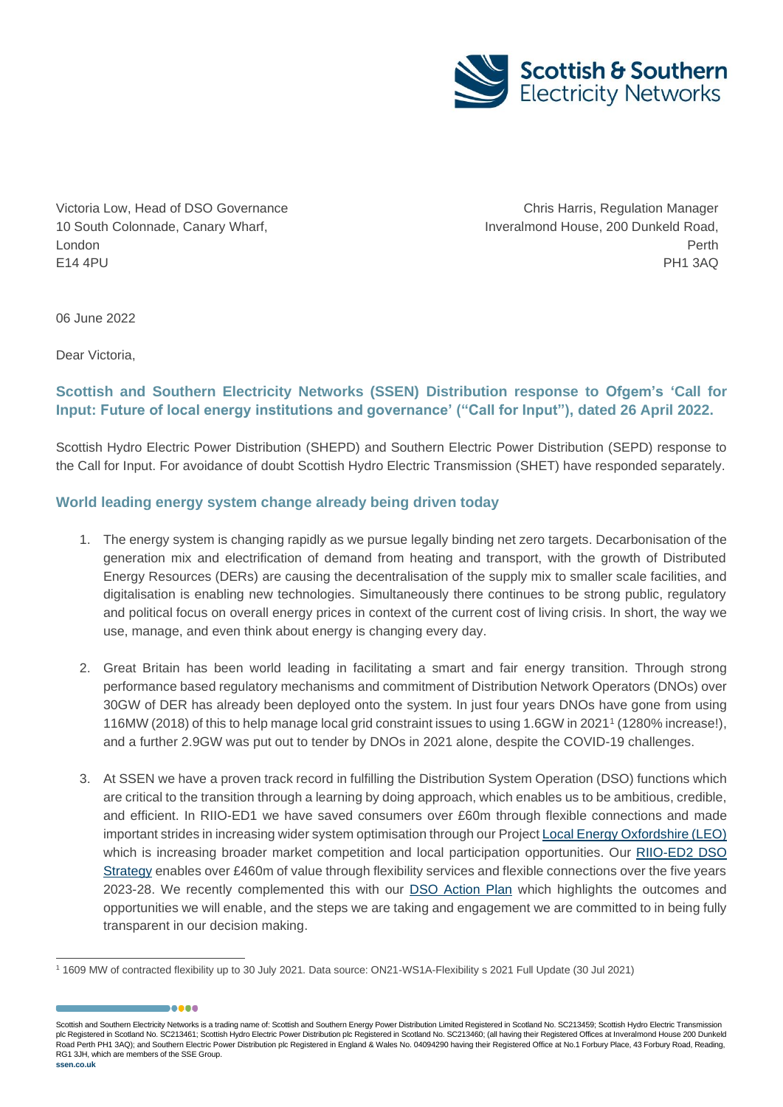

Victoria Low, Head of DSO Governance 10 South Colonnade, Canary Wharf, London E14 4PU

,,,,,

Chris Harris, Regulation Manager Inveralmond House, 200 Dunkeld Road, Perth PH1 3AQ

06 June 2022

Dear Victoria,

# **Scottish and Southern Electricity Networks (SSEN) Distribution response to Ofgem's 'Call for Input: Future of local energy institutions and governance' ("Call for Input"), dated 26 April 2022.**

Scottish Hydro Electric Power Distribution (SHEPD) and Southern Electric Power Distribution (SEPD) response to the Call for Input. For avoidance of doubt Scottish Hydro Electric Transmission (SHET) have responded separately.

## **World leading energy system change already being driven today**

- 1. The energy system is changing rapidly as we pursue legally binding net zero targets. Decarbonisation of the generation mix and electrification of demand from heating and transport, with the growth of Distributed Energy Resources (DERs) are causing the decentralisation of the supply mix to smaller scale facilities, and digitalisation is enabling new technologies. Simultaneously there continues to be strong public, regulatory and political focus on overall energy prices in context of the current cost of living crisis. In short, the way we use, manage, and even think about energy is changing every day.
- 2. Great Britain has been world leading in facilitating a smart and fair energy transition. Through strong performance based regulatory mechanisms and commitment of Distribution Network Operators (DNOs) over 30GW of DER has already been deployed onto the system. In just four years DNOs have gone from using 116MW (2018) of this to help manage local grid constraint issues to using 1.6GW in 2021<sup>1</sup> (1280% increase!), and a further 2.9GW was put out to tender by DNOs in 2021 alone, despite the COVID-19 challenges.
- 3. At SSEN we have a proven track record in fulfilling the Distribution System Operation (DSO) functions which are critical to the transition through a learning by doing approach, which enables us to be ambitious, credible, and efficient. In RIIO-ED1 we have saved consumers over £60m through flexible connections and made important strides in increasing wider system optimisation through our Projec[t Local Energy Oxfordshire \(LEO\)](https://project-leo.co.uk/) which is increasing broader market competition and local participation opportunities. Our [RIIO-ED2 DSO](https://ssenfuture.co.uk/wp-content/uploads/2021/12/A_11.1._DSO_Strategy_CLEANFINAL_REDACTED.pdf)  [Strategy](https://ssenfuture.co.uk/wp-content/uploads/2021/12/A_11.1._DSO_Strategy_CLEANFINAL_REDACTED.pdf) enables over £460m of value through flexibility services and flexible connections over the five years 2023-28. We recently complemented this with our [DSO Action Plan](https://www.ssen.co.uk/globalassets/about-us/dso/dso-action-plan/our-dso-action-plan.pdf) which highlights the outcomes and opportunities we will enable, and the steps we are taking and engagement we are committed to in being fully transparent in our decision making.

<sup>1</sup> 1609 MW of contracted flexibility up to 30 July 2021. Data source: ON21-WS1A-Flexibility s 2021 Full Update (30 Jul 2021)

Scottish and Southern Electricity Networks is a trading name of: Scottish and Southern Energy Power Distribution Limited Registered in Scotland No. SC213459; Scottish Hydro Electric Transmission plc Registered in Scotland No. SC213461; Scottish Hydro Electric Power Distribution plc Registered in Scotland No. SC213460; (all having their Registered Offices at Inveralmond House 200 Dunkeld Road Perth PH1 3AQ); and Southern Electric Power Distribution plc Registered in England & Wales No. 04094290 having their Registered Office at No.1 Forbury Place, 43 Forbury Road, Reading, RG1 3JH, which are members of the SSE Group. **ssen.co.uk**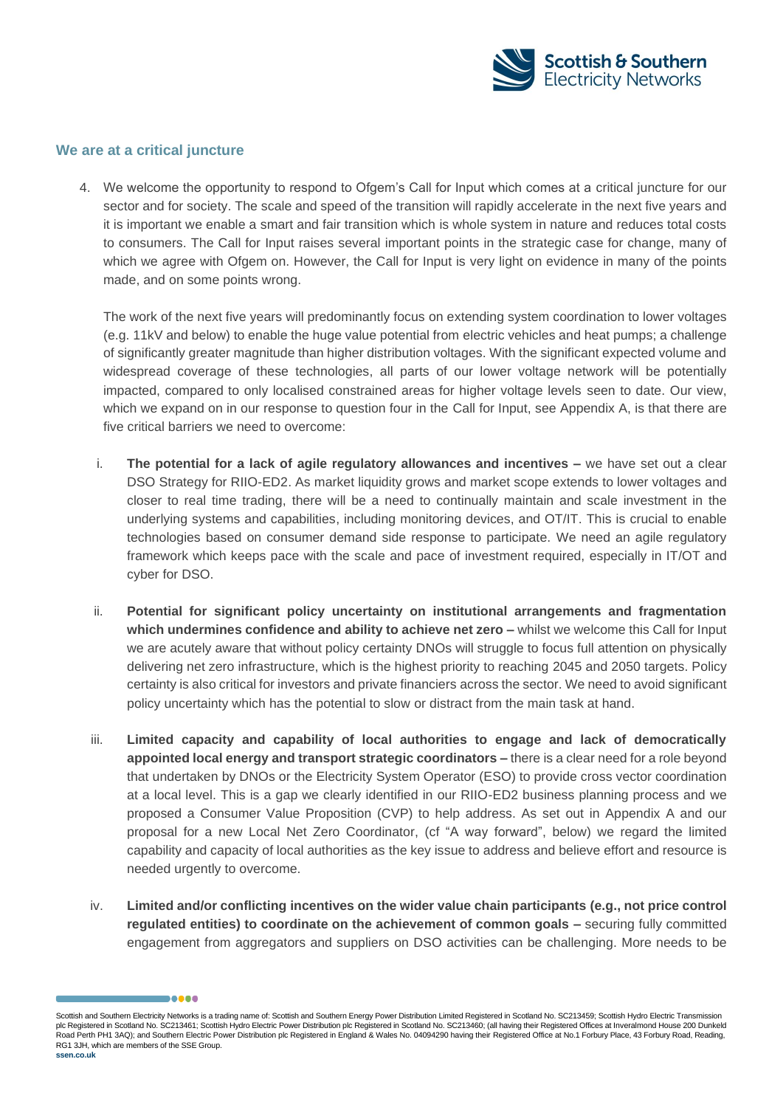

### **We are at a critical juncture**

.....

4. We welcome the opportunity to respond to Ofgem's Call for Input which comes at a critical juncture for our sector and for society. The scale and speed of the transition will rapidly accelerate in the next five years and it is important we enable a smart and fair transition which is whole system in nature and reduces total costs to consumers. The Call for Input raises several important points in the strategic case for change, many of which we agree with Ofgem on. However, the Call for Input is very light on evidence in many of the points made, and on some points wrong.

The work of the next five years will predominantly focus on extending system coordination to lower voltages (e.g. 11kV and below) to enable the huge value potential from electric vehicles and heat pumps; a challenge of significantly greater magnitude than higher distribution voltages. With the significant expected volume and widespread coverage of these technologies, all parts of our lower voltage network will be potentially impacted, compared to only localised constrained areas for higher voltage levels seen to date. Our view, which we expand on in our response to question four in the Call for Input, see Appendix A, is that there are five critical barriers we need to overcome:

- i. **The potential for a lack of agile regulatory allowances and incentives –** we have set out a clear DSO Strategy for RIIO-ED2. As market liquidity grows and market scope extends to lower voltages and closer to real time trading, there will be a need to continually maintain and scale investment in the underlying systems and capabilities, including monitoring devices, and OT/IT. This is crucial to enable technologies based on consumer demand side response to participate. We need an agile regulatory framework which keeps pace with the scale and pace of investment required, especially in IT/OT and cyber for DSO.
- ii. **Potential for significant policy uncertainty on institutional arrangements and fragmentation which undermines confidence and ability to achieve net zero –** whilst we welcome this Call for Input we are acutely aware that without policy certainty DNOs will struggle to focus full attention on physically delivering net zero infrastructure, which is the highest priority to reaching 2045 and 2050 targets. Policy certainty is also critical for investors and private financiers across the sector. We need to avoid significant policy uncertainty which has the potential to slow or distract from the main task at hand.
- iii. **Limited capacity and capability of local authorities to engage and lack of democratically appointed local energy and transport strategic coordinators –** there is a clear need for a role beyond that undertaken by DNOs or the Electricity System Operator (ESO) to provide cross vector coordination at a local level. This is a gap we clearly identified in our RIIO-ED2 business planning process and we proposed a Consumer Value Proposition (CVP) to help address. As set out in Appendix A and our proposal for a new Local Net Zero Coordinator, (cf "A way forward", below) we regard the limited capability and capacity of local authorities as the key issue to address and believe effort and resource is needed urgently to overcome.
- iv. **Limited and/or conflicting incentives on the wider value chain participants (e.g., not price control regulated entities) to coordinate on the achievement of common goals –** securing fully committed engagement from aggregators and suppliers on DSO activities can be challenging. More needs to be

Scottish and Southern Electricity Networks is a trading name of: Scottish and Southern Energy Power Distribution Limited Registered in Scotland No. SC213459; Scottish Hydro Electric Transmission plc Registered in Scotland No. SC213461; Scottish Hydro Electric Power Distribution plc Registered in Scotland No. SC213460; (all having their Registered Offices at Inveralmond House 200 Dunkeld Road Perth PH1 3AQ); and Southern Electric Power Distribution plc Registered in England & Wales No. 04094290 having their Registered Office at No.1 Forbury Place, 43 Forbury Road, Reading, RG1 3JH, which are members of the SSE Group. **ssen.co.uk**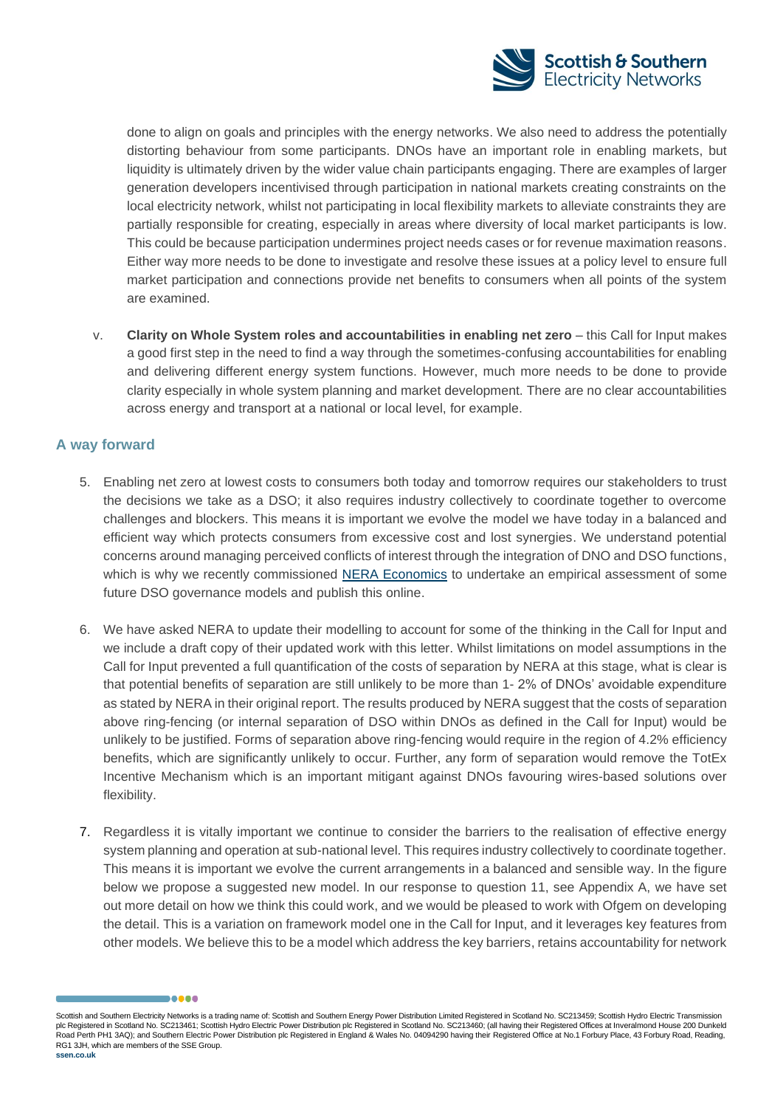

done to align on goals and principles with the energy networks. We also need to address the potentially distorting behaviour from some participants. DNOs have an important role in enabling markets, but liquidity is ultimately driven by the wider value chain participants engaging. There are examples of larger generation developers incentivised through participation in national markets creating constraints on the local electricity network, whilst not participating in local flexibility markets to alleviate constraints they are partially responsible for creating, especially in areas where diversity of local market participants is low. This could be because participation undermines project needs cases or for revenue maximation reasons. Either way more needs to be done to investigate and resolve these issues at a policy level to ensure full market participation and connections provide net benefits to consumers when all points of the system are examined.

v. **Clarity on Whole System roles and accountabilities in enabling net zero** – this Call for Input makes a good first step in the need to find a way through the sometimes-confusing accountabilities for enabling and delivering different energy system functions. However, much more needs to be done to provide clarity especially in whole system planning and market development. There are no clear accountabilities across energy and transport at a national or local level, for example.

## **A way forward**

- 5. Enabling net zero at lowest costs to consumers both today and tomorrow requires our stakeholders to trust the decisions we take as a DSO; it also requires industry collectively to coordinate together to overcome challenges and blockers. This means it is important we evolve the model we have today in a balanced and efficient way which protects consumers from excessive cost and lost synergies. We understand potential concerns around managing perceived conflicts of interest through the integration of DNO and DSO functions, which is why we recently commissioned [NERA Economics](https://www.nera.com/content/dam/nera/publications/2022/2022.03.21_NERA_Report_DSO%20Strategy_for_publication.pdf) to undertake an empirical assessment of some future DSO governance models and publish this online.
- 6. We have asked NERA to update their modelling to account for some of the thinking in the Call for Input and we include a draft copy of their updated work with this letter. Whilst limitations on model assumptions in the Call for Input prevented a full quantification of the costs of separation by NERA at this stage, what is clear is that potential benefits of separation are still unlikely to be more than 1- 2% of DNOs' avoidable expenditure as stated by NERA in their original report. The results produced by NERA suggest that the costs of separation above ring-fencing (or internal separation of DSO within DNOs as defined in the Call for Input) would be unlikely to be justified. Forms of separation above ring-fencing would require in the region of 4.2% efficiency benefits, which are significantly unlikely to occur. Further, any form of separation would remove the TotEx Incentive Mechanism which is an important mitigant against DNOs favouring wires-based solutions over flexibility.
- 7. Regardless it is vitally important we continue to consider the barriers to the realisation of effective energy system planning and operation at sub-national level. This requires industry collectively to coordinate together. This means it is important we evolve the current arrangements in a balanced and sensible way. In the figure below we propose a suggested new model. In our response to question 11, see Appendix A, we have set out more detail on how we think this could work, and we would be pleased to work with Ofgem on developing the detail. This is a variation on framework model one in the Call for Input, and it leverages key features from other models. We believe this to be a model which address the key barriers, retains accountability for network

Scottish and Southern Electricity Networks is a trading name of: Scottish and Southern Energy Power Distribution Limited Registered in Scotland No. SC213459; Scottish Hydro Electric Transmission plc Registered in Scotland No. SC213461; Scottish Hydro Electric Power Distribution plc Registered in Scotland No. SC213460; (all having their Registered Offices at Inveralmond House 200 Dunkeld Road Perth PH1 3AQ); and Southern Electric Power Distribution plc Registered in England & Wales No. 04094290 having their Registered Office at No.1 Forbury Place, 43 Forbury Road, Reading, RG1 3JH, which are members of the SSE Group.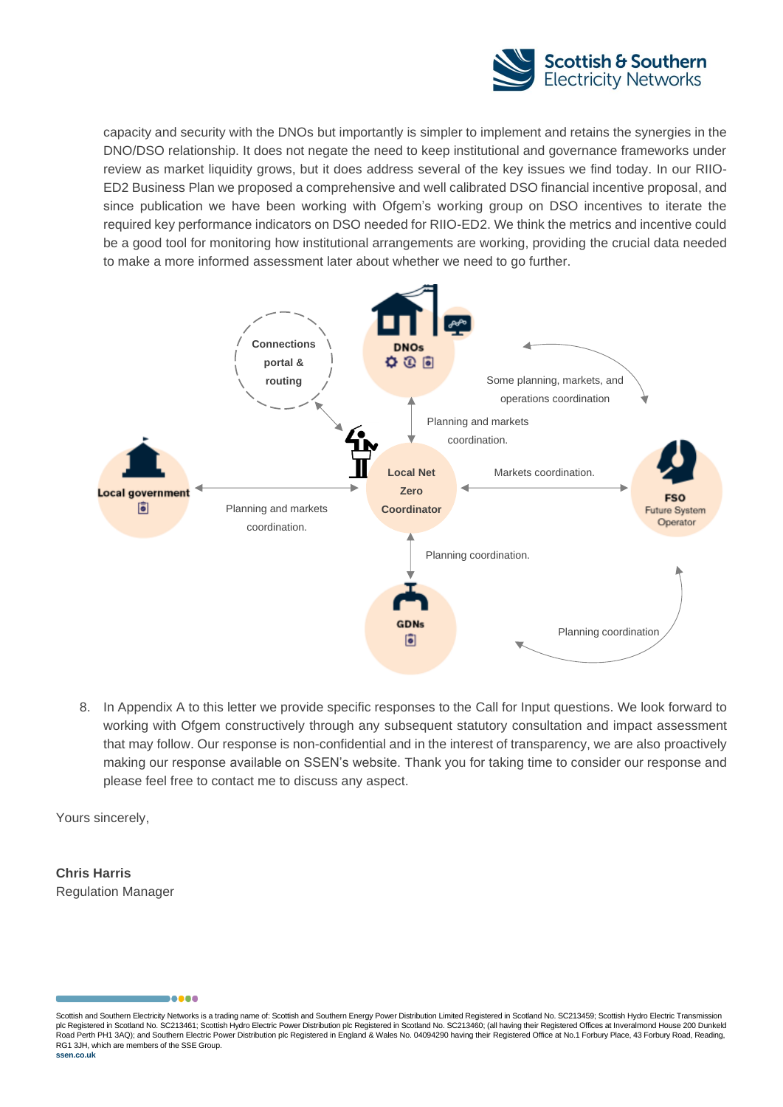

capacity and security with the DNOs but importantly is simpler to implement and retains the synergies in the DNO/DSO relationship. It does not negate the need to keep institutional and governance frameworks under review as market liquidity grows, but it does address several of the key issues we find today. In our RIIO-ED2 Business Plan we proposed a comprehensive and well calibrated DSO financial incentive proposal, and since publication we have been working with Ofgem's working group on DSO incentives to iterate the required key performance indicators on DSO needed for RIIO-ED2. We think the metrics and incentive could be a good tool for monitoring how institutional arrangements are working, providing the crucial data needed to make a more informed assessment later about whether we need to go further.



8. In Appendix A to this letter we provide specific responses to the Call for Input questions. We look forward to working with Ofgem constructively through any subsequent statutory consultation and impact assessment that may follow. Our response is non-confidential and in the interest of transparency, we are also proactively making our response available on SSEN's website. Thank you for taking time to consider our response and please feel free to contact me to discuss any aspect.

Yours sincerely,

**Chris Harris** Regulation Manager

Scottish and Southern Electricity Networks is a trading name of: Scottish and Southern Energy Power Distribution Limited Registered in Scotland No. SC213459; Scottish Hydro Electric Transmission plc Registered in Scotland No. SC213461; Scottish Hydro Electric Power Distribution plc Registered in Scotland No. SC213460; (all having their Registered Offices at Inveralmond House 200 Dunkeld Road Perth PH1 3AQ); and Southern Electric Power Distribution plc Registered in England & Wales No. 04094290 having their Registered Office at No.1 Forbury Place, 43 Forbury Road, Reading, RG1 3JH, which are members of the SSE Group.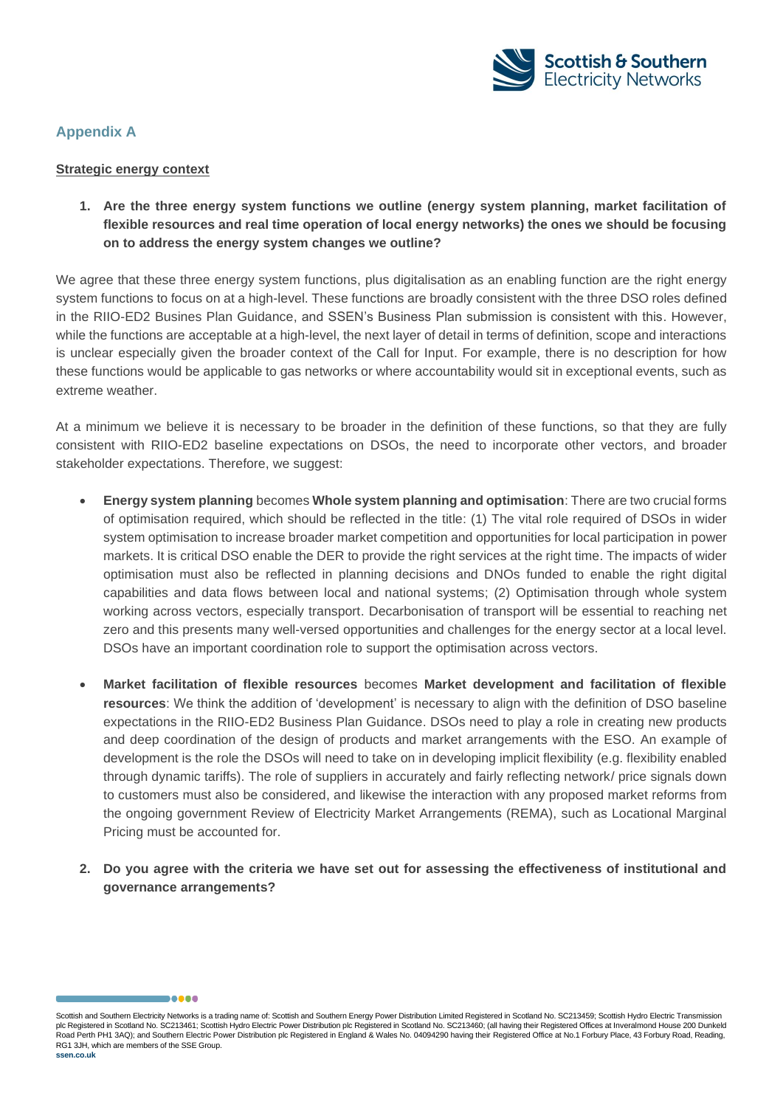![](_page_4_Picture_0.jpeg)

## **Appendix A**

### **Strategic energy context**

**1. Are the three energy system functions we outline (energy system planning, market facilitation of flexible resources and real time operation of local energy networks) the ones we should be focusing on to address the energy system changes we outline?**

We agree that these three energy system functions, plus digitalisation as an enabling function are the right energy system functions to focus on at a high-level. These functions are broadly consistent with the three DSO roles defined in the RIIO-ED2 Busines Plan Guidance, and SSEN's Business Plan submission is consistent with this. However, while the functions are acceptable at a high-level, the next layer of detail in terms of definition, scope and interactions is unclear especially given the broader context of the Call for Input. For example, there is no description for how these functions would be applicable to gas networks or where accountability would sit in exceptional events, such as extreme weather.

At a minimum we believe it is necessary to be broader in the definition of these functions, so that they are fully consistent with RIIO-ED2 baseline expectations on DSOs, the need to incorporate other vectors, and broader stakeholder expectations. Therefore, we suggest:

- **Energy system planning** becomes **Whole system planning and optimisation**: There are two crucial forms of optimisation required, which should be reflected in the title: (1) The vital role required of DSOs in wider system optimisation to increase broader market competition and opportunities for local participation in power markets. It is critical DSO enable the DER to provide the right services at the right time. The impacts of wider optimisation must also be reflected in planning decisions and DNOs funded to enable the right digital capabilities and data flows between local and national systems; (2) Optimisation through whole system working across vectors, especially transport. Decarbonisation of transport will be essential to reaching net zero and this presents many well-versed opportunities and challenges for the energy sector at a local level. DSOs have an important coordination role to support the optimisation across vectors.
- **Market facilitation of flexible resources** becomes **Market development and facilitation of flexible resources**: We think the addition of 'development' is necessary to align with the definition of DSO baseline expectations in the RIIO-ED2 Business Plan Guidance. DSOs need to play a role in creating new products and deep coordination of the design of products and market arrangements with the ESO. An example of development is the role the DSOs will need to take on in developing implicit flexibility (e.g. flexibility enabled through dynamic tariffs). The role of suppliers in accurately and fairly reflecting network/ price signals down to customers must also be considered, and likewise the interaction with any proposed market reforms from the ongoing government Review of Electricity Market Arrangements (REMA), such as Locational Marginal Pricing must be accounted for.
- **2. Do you agree with the criteria we have set out for assessing the effectiveness of institutional and governance arrangements?**

Scottish and Southern Electricity Networks is a trading name of: Scottish and Southern Energy Power Distribution Limited Registered in Scotland No. SC213459; Scottish Hydro Electric Transmission plc Registered in Scotland No. SC213461; Scottish Hydro Electric Power Distribution plc Registered in Scotland No. SC213460; (all having their Registered Offices at Inveralmond House 200 Dunkeld Road Perth PH1 3AQ); and Southern Electric Power Distribution plc Registered in England & Wales No. 04094290 having their Registered Office at No.1 Forbury Place, 43 Forbury Road, Reading, RG1 3JH, which are members of the SSE Group.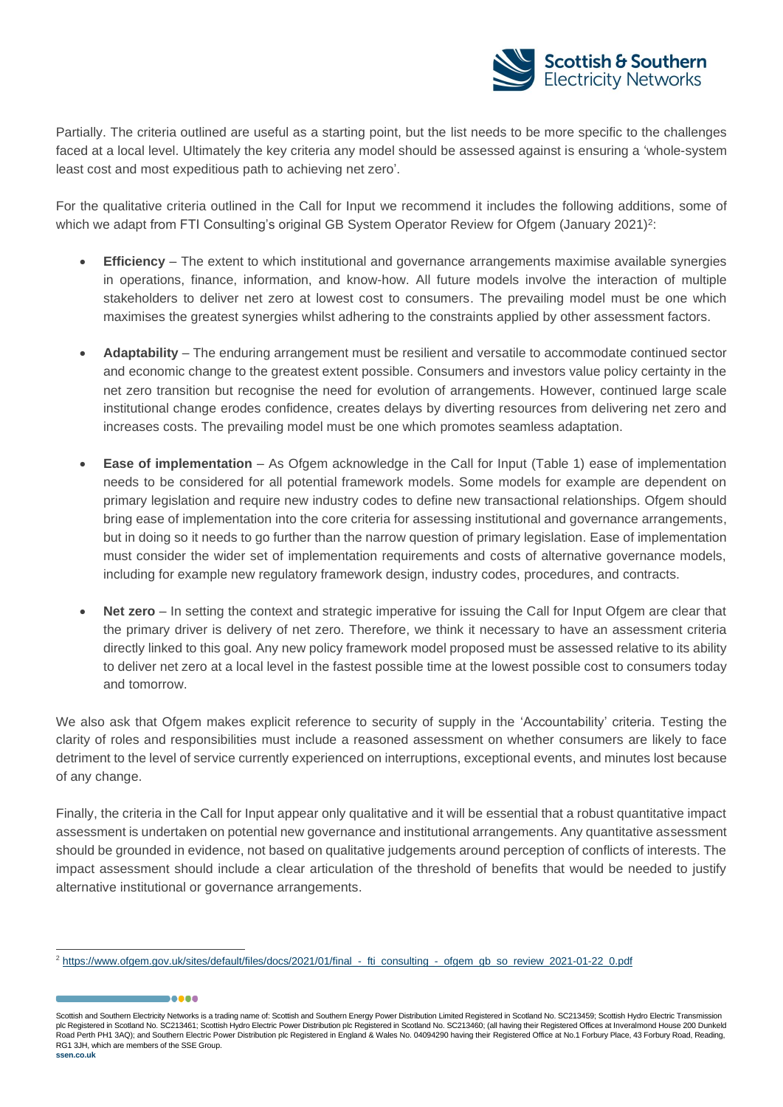![](_page_5_Picture_0.jpeg)

Partially. The criteria outlined are useful as a starting point, but the list needs to be more specific to the challenges faced at a local level. Ultimately the key criteria any model should be assessed against is ensuring a 'whole-system least cost and most expeditious path to achieving net zero'.

For the qualitative criteria outlined in the Call for Input we recommend it includes the following additions, some of which we adapt from FTI Consulting's original GB System Operator Review for Ofgem (January 2021)<sup>2</sup>:

- **Efficiency** The extent to which institutional and governance arrangements maximise available synergies in operations, finance, information, and know-how. All future models involve the interaction of multiple stakeholders to deliver net zero at lowest cost to consumers. The prevailing model must be one which maximises the greatest synergies whilst adhering to the constraints applied by other assessment factors.
- **Adaptability** The enduring arrangement must be resilient and versatile to accommodate continued sector and economic change to the greatest extent possible. Consumers and investors value policy certainty in the net zero transition but recognise the need for evolution of arrangements. However, continued large scale institutional change erodes confidence, creates delays by diverting resources from delivering net zero and increases costs. The prevailing model must be one which promotes seamless adaptation.
- **Ease of implementation** As Ofgem acknowledge in the Call for Input (Table 1) ease of implementation needs to be considered for all potential framework models. Some models for example are dependent on primary legislation and require new industry codes to define new transactional relationships. Ofgem should bring ease of implementation into the core criteria for assessing institutional and governance arrangements, but in doing so it needs to go further than the narrow question of primary legislation. Ease of implementation must consider the wider set of implementation requirements and costs of alternative governance models, including for example new regulatory framework design, industry codes, procedures, and contracts.
- **Net zero** In setting the context and strategic imperative for issuing the Call for Input Ofgem are clear that the primary driver is delivery of net zero. Therefore, we think it necessary to have an assessment criteria directly linked to this goal. Any new policy framework model proposed must be assessed relative to its ability to deliver net zero at a local level in the fastest possible time at the lowest possible cost to consumers today and tomorrow.

We also ask that Ofgem makes explicit reference to security of supply in the 'Accountability' criteria. Testing the clarity of roles and responsibilities must include a reasoned assessment on whether consumers are likely to face detriment to the level of service currently experienced on interruptions, exceptional events, and minutes lost because of any change.

Finally, the criteria in the Call for Input appear only qualitative and it will be essential that a robust quantitative impact assessment is undertaken on potential new governance and institutional arrangements. Any quantitative assessment should be grounded in evidence, not based on qualitative judgements around perception of conflicts of interests. The impact assessment should include a clear articulation of the threshold of benefits that would be needed to justify alternative institutional or governance arrangements.

Scottish and Southern Electricity Networks is a trading name of: Scottish and Southern Energy Power Distribution Limited Registered in Scotland No. SC213459; Scottish Hydro Electric Transmission plc Registered in Scotland No. SC213461; Scottish Hydro Electric Power Distribution plc Registered in Scotland No. SC213460; (all having their Registered Offices at Inveralmond House 200 Dunkeld Road Perth PH1 3AQ); and Southern Electric Power Distribution plc Registered in England & Wales No. 04094290 having their Registered Office at No.1 Forbury Place, 43 Forbury Road, Reading, RG1 3JH, which are members of the SSE Group.

<sup>&</sup>lt;sup>2</sup> [https://www.ofgem.gov.uk/sites/default/files/docs/2021/01/final\\_-\\_fti\\_consulting\\_-\\_ofgem\\_gb\\_so\\_review\\_2021-01-22\\_0.pdf](https://www.ofgem.gov.uk/sites/default/files/docs/2021/01/final_-_fti_consulting_-_ofgem_gb_so_review_2021-01-22_0.pdf)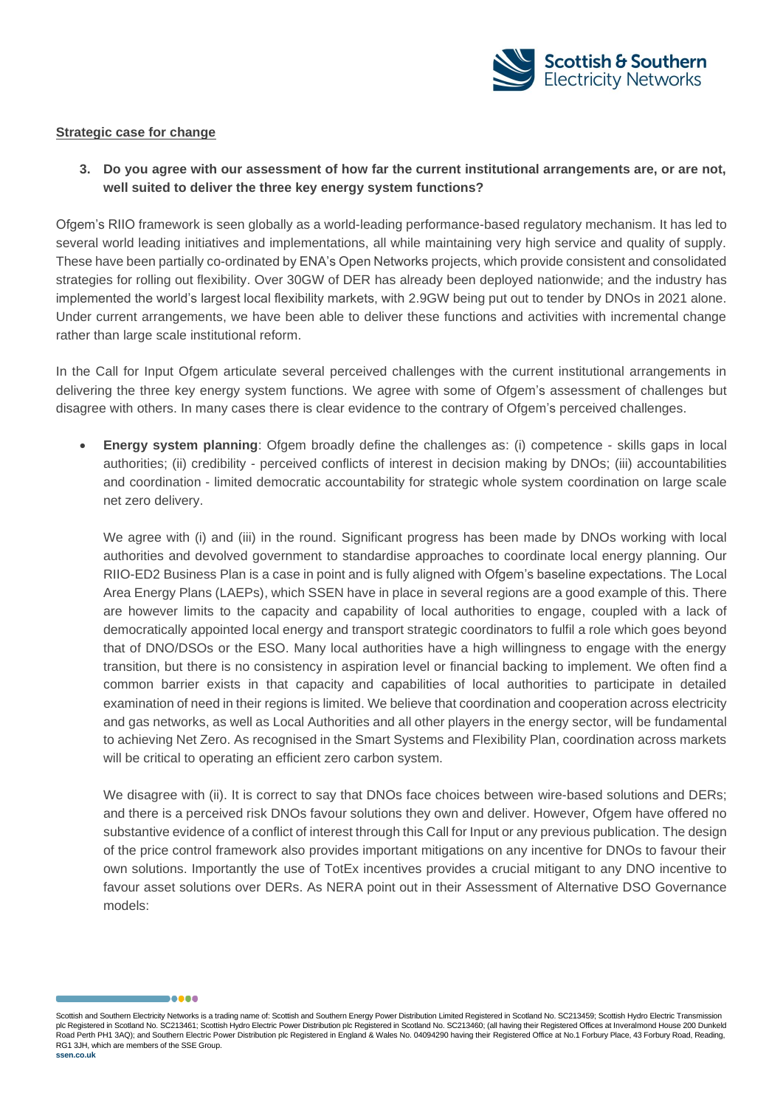![](_page_6_Picture_0.jpeg)

### **Strategic case for change**

**3. Do you agree with our assessment of how far the current institutional arrangements are, or are not, well suited to deliver the three key energy system functions?**

Ofgem's RIIO framework is seen globally as a world-leading performance-based regulatory mechanism. It has led to several world leading initiatives and implementations, all while maintaining very high service and quality of supply. These have been partially co-ordinated by ENA's Open Networks projects, which provide consistent and consolidated strategies for rolling out flexibility. Over 30GW of DER has already been deployed nationwide; and the industry has implemented the world's largest local flexibility markets, with 2.9GW being put out to tender by DNOs in 2021 alone. Under current arrangements, we have been able to deliver these functions and activities with incremental change rather than large scale institutional reform.

In the Call for Input Ofgem articulate several perceived challenges with the current institutional arrangements in delivering the three key energy system functions. We agree with some of Ofgem's assessment of challenges but disagree with others. In many cases there is clear evidence to the contrary of Ofgem's perceived challenges.

• **Energy system planning**: Ofgem broadly define the challenges as: (i) competence - skills gaps in local authorities; (ii) credibility - perceived conflicts of interest in decision making by DNOs; (iii) accountabilities and coordination - limited democratic accountability for strategic whole system coordination on large scale net zero delivery.

We agree with (i) and (iii) in the round. Significant progress has been made by DNOs working with local authorities and devolved government to standardise approaches to coordinate local energy planning. Our RIIO-ED2 Business Plan is a case in point and is fully aligned with Ofgem's baseline expectations. The Local Area Energy Plans (LAEPs), which SSEN have in place in several regions are a good example of this. There are however limits to the capacity and capability of local authorities to engage, coupled with a lack of democratically appointed local energy and transport strategic coordinators to fulfil a role which goes beyond that of DNO/DSOs or the ESO. Many local authorities have a high willingness to engage with the energy transition, but there is no consistency in aspiration level or financial backing to implement. We often find a common barrier exists in that capacity and capabilities of local authorities to participate in detailed examination of need in their regions is limited. We believe that coordination and cooperation across electricity and gas networks, as well as Local Authorities and all other players in the energy sector, will be fundamental to achieving Net Zero. As recognised in the Smart Systems and Flexibility Plan, coordination across markets will be critical to operating an efficient zero carbon system.

We disagree with (ii). It is correct to say that DNOs face choices between wire-based solutions and DERs; and there is a perceived risk DNOs favour solutions they own and deliver. However, Ofgem have offered no substantive evidence of a conflict of interest through this Call for Input or any previous publication. The design of the price control framework also provides important mitigations on any incentive for DNOs to favour their own solutions. Importantly the use of TotEx incentives provides a crucial mitigant to any DNO incentive to favour asset solutions over DERs. As NERA point out in their Assessment of Alternative DSO Governance models:

Scottish and Southern Electricity Networks is a trading name of: Scottish and Southern Energy Power Distribution Limited Registered in Scotland No. SC213459; Scottish Hydro Electric Transmission plc Registered in Scotland No. SC213461; Scottish Hydro Electric Power Distribution plc Registered in Scotland No. SC213460; (all having their Registered Offices at Inveralmond House 200 Dunkeld Road Perth PH1 3AQ); and Southern Electric Power Distribution plc Registered in England & Wales No. 04094290 having their Registered Office at No.1 Forbury Place, 43 Forbury Road, Reading, RG1 3JH, which are members of the SSE Group.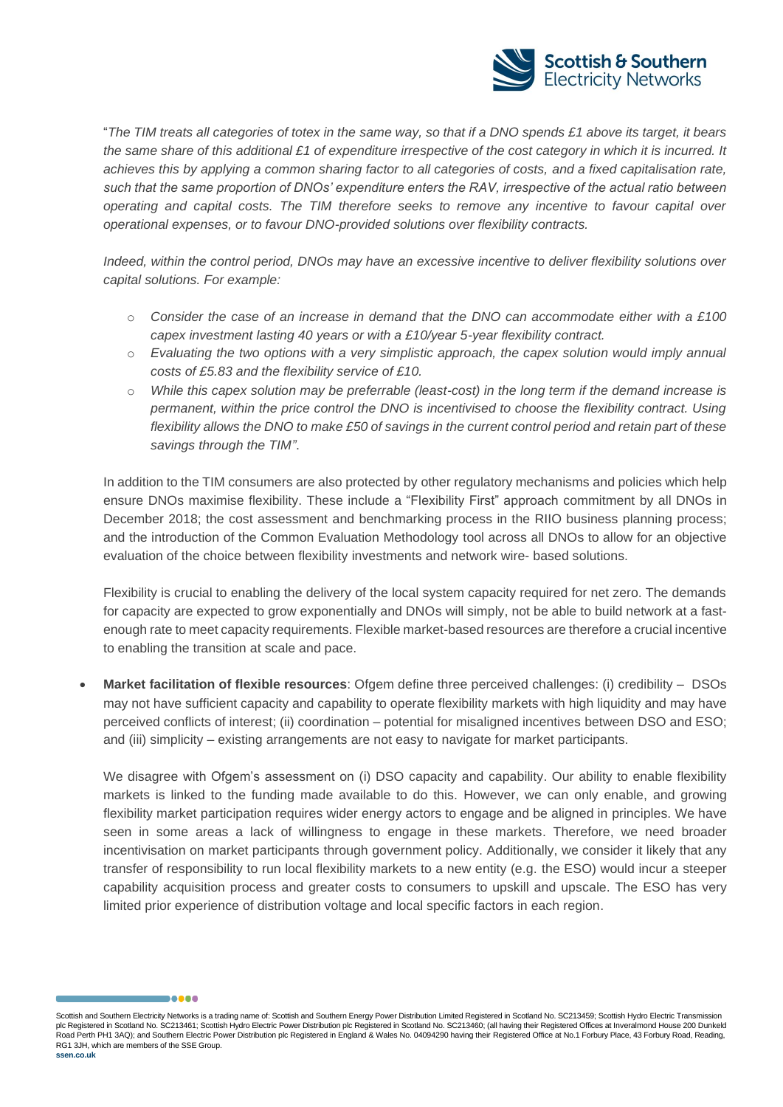![](_page_7_Picture_0.jpeg)

"*The TIM treats all categories of totex in the same way, so that if a DNO spends £1 above its target, it bears the same share of this additional £1 of expenditure irrespective of the cost category in which it is incurred. It achieves this by applying a common sharing factor to all categories of costs, and a fixed capitalisation rate, such that the same proportion of DNOs' expenditure enters the RAV, irrespective of the actual ratio between operating and capital costs. The TIM therefore seeks to remove any incentive to favour capital over operational expenses, or to favour DNO-provided solutions over flexibility contracts.*

*Indeed, within the control period, DNOs may have an excessive incentive to deliver flexibility solutions over capital solutions. For example:*

- o *Consider the case of an increase in demand that the DNO can accommodate either with a £100 capex investment lasting 40 years or with a £10/year 5-year flexibility contract.*
- o *Evaluating the two options with a very simplistic approach, the capex solution would imply annual costs of £5.83 and the flexibility service of £10.*
- o *While this capex solution may be preferrable (least-cost) in the long term if the demand increase is permanent, within the price control the DNO is incentivised to choose the flexibility contract. Using flexibility allows the DNO to make £50 of savings in the current control period and retain part of these savings through the TIM"*.

In addition to the TIM consumers are also protected by other regulatory mechanisms and policies which help ensure DNOs maximise flexibility. These include a "Flexibility First" approach commitment by all DNOs in December 2018; the cost assessment and benchmarking process in the RIIO business planning process; and the introduction of the Common Evaluation Methodology tool across all DNOs to allow for an objective evaluation of the choice between flexibility investments and network wire- based solutions.

Flexibility is crucial to enabling the delivery of the local system capacity required for net zero. The demands for capacity are expected to grow exponentially and DNOs will simply, not be able to build network at a fastenough rate to meet capacity requirements. Flexible market-based resources are therefore a crucial incentive to enabling the transition at scale and pace.

• **Market facilitation of flexible resources**: Ofgem define three perceived challenges: (i) credibility – DSOs may not have sufficient capacity and capability to operate flexibility markets with high liquidity and may have perceived conflicts of interest; (ii) coordination – potential for misaligned incentives between DSO and ESO; and (iii) simplicity – existing arrangements are not easy to navigate for market participants.

We disagree with Ofgem's assessment on (i) DSO capacity and capability. Our ability to enable flexibility markets is linked to the funding made available to do this. However, we can only enable, and growing flexibility market participation requires wider energy actors to engage and be aligned in principles. We have seen in some areas a lack of willingness to engage in these markets. Therefore, we need broader incentivisation on market participants through government policy. Additionally, we consider it likely that any transfer of responsibility to run local flexibility markets to a new entity (e.g. the ESO) would incur a steeper capability acquisition process and greater costs to consumers to upskill and upscale. The ESO has very limited prior experience of distribution voltage and local specific factors in each region.

Scottish and Southern Electricity Networks is a trading name of: Scottish and Southern Energy Power Distribution Limited Registered in Scotland No. SC213459; Scottish Hydro Electric Transmission plc Registered in Scotland No. SC213461; Scottish Hydro Electric Power Distribution plc Registered in Scotland No. SC213460; (all having their Registered Offices at Inveralmond House 200 Dunkeld Road Perth PH1 3AQ); and Southern Electric Power Distribution plc Registered in England & Wales No. 04094290 having their Registered Office at No.1 Forbury Place, 43 Forbury Road, Reading, RG1 3JH, which are members of the SSE Group.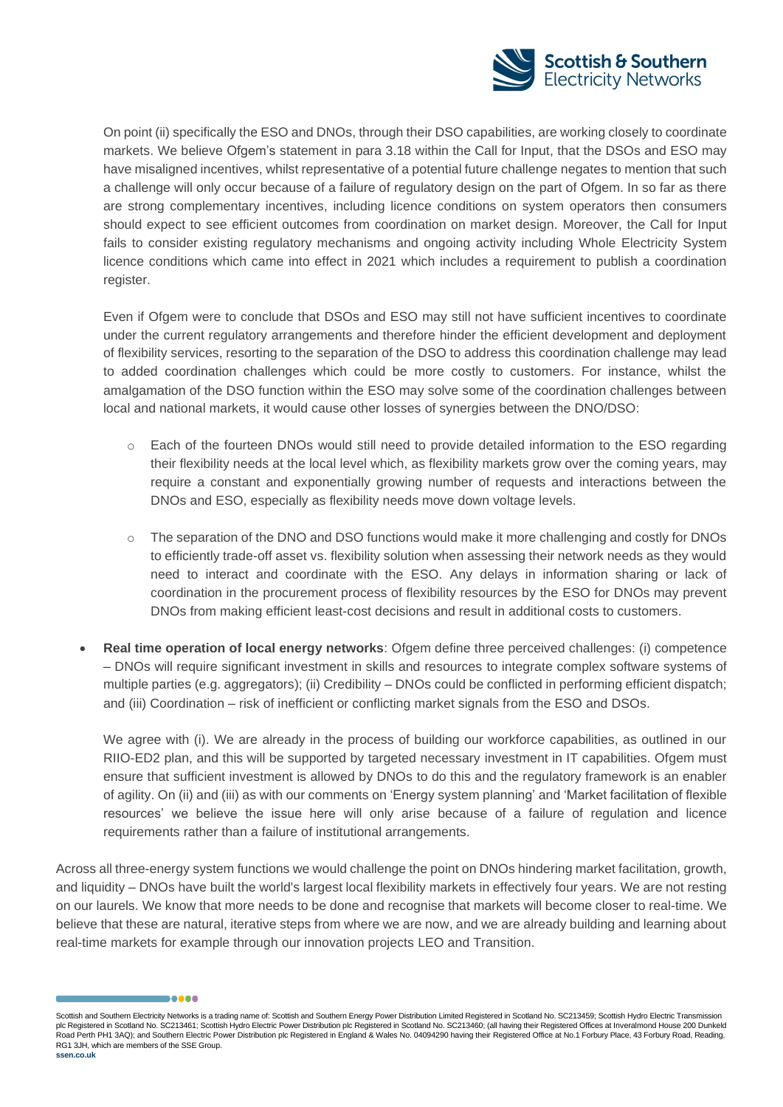![](_page_8_Picture_0.jpeg)

On point (ii) specifically the ESO and DNOs, through their DSO capabilities, are working closely to coordinate markets. We believe Ofgem's statement in para 3.18 within the Call for Input, that the DSOs and ESO may have misaligned incentives, whilst representative of a potential future challenge negates to mention that such a challenge will only occur because of a failure of regulatory design on the part of Ofgem. In so far as there are strong complementary incentives, including licence conditions on system operators then consumers should expect to see efficient outcomes from coordination on market design. Moreover, the Call for Input fails to consider existing regulatory mechanisms and ongoing activity including Whole Electricity System licence conditions which came into effect in 2021 which includes a requirement to publish a coordination register.

Even if Ofgem were to conclude that DSOs and ESO may still not have sufficient incentives to coordinate under the current regulatory arrangements and therefore hinder the efficient development and deployment of flexibility services, resorting to the separation of the DSO to address this coordination challenge may lead to added coordination challenges which could be more costly to customers. For instance, whilst the amalgamation of the DSO function within the ESO may solve some of the coordination challenges between local and national markets, it would cause other losses of synergies between the DNO/DSO:

- o Each of the fourteen DNOs would still need to provide detailed information to the ESO regarding their flexibility needs at the local level which, as flexibility markets grow over the coming years, may require a constant and exponentially growing number of requests and interactions between the DNOs and ESO, especially as flexibility needs move down voltage levels.
- o The separation of the DNO and DSO functions would make it more challenging and costly for DNOs to efficiently trade-off asset vs. flexibility solution when assessing their network needs as they would need to interact and coordinate with the ESO. Any delays in information sharing or lack of coordination in the procurement process of flexibility resources by the ESO for DNOs may prevent DNOs from making efficient least-cost decisions and result in additional costs to customers.
- **Real time operation of local energy networks**: Ofgem define three perceived challenges: (i) competence – DNOs will require significant investment in skills and resources to integrate complex software systems of multiple parties (e.g. aggregators); (ii) Credibility – DNOs could be conflicted in performing efficient dispatch; and (iii) Coordination – risk of inefficient or conflicting market signals from the ESO and DSOs.

We agree with (i). We are already in the process of building our workforce capabilities, as outlined in our RIIO-ED2 plan, and this will be supported by targeted necessary investment in IT capabilities. Ofgem must ensure that sufficient investment is allowed by DNOs to do this and the regulatory framework is an enabler of agility. On (ii) and (iii) as with our comments on 'Energy system planning' and 'Market facilitation of flexible resources' we believe the issue here will only arise because of a failure of regulation and licence requirements rather than a failure of institutional arrangements.

Across all three-energy system functions we would challenge the point on DNOs hindering market facilitation, growth, and liquidity – DNOs have built the world's largest local flexibility markets in effectively four years. We are not resting on our laurels. We know that more needs to be done and recognise that markets will become closer to real-time. We believe that these are natural, iterative steps from where we are now, and we are already building and learning about real-time markets for example through our innovation projects LEO and Transition.

Scottish and Southern Electricity Networks is a trading name of: Scottish and Southern Energy Power Distribution Limited Registered in Scotland No. SC213459; Scottish Hydro Electric Transmission plc Registered in Scotland No. SC213461; Scottish Hydro Electric Power Distribution plc Registered in Scotland No. SC213460; (all having their Registered Offices at Inveralmond House 200 Dunkeld Road Perth PH1 3AQ); and Southern Electric Power Distribution plc Registered in England & Wales No. 04094290 having their Registered Office at No.1 Forbury Place, 43 Forbury Road, Reading, RG1 3JH, which are members of the SSE Group. **ssen.co.uk**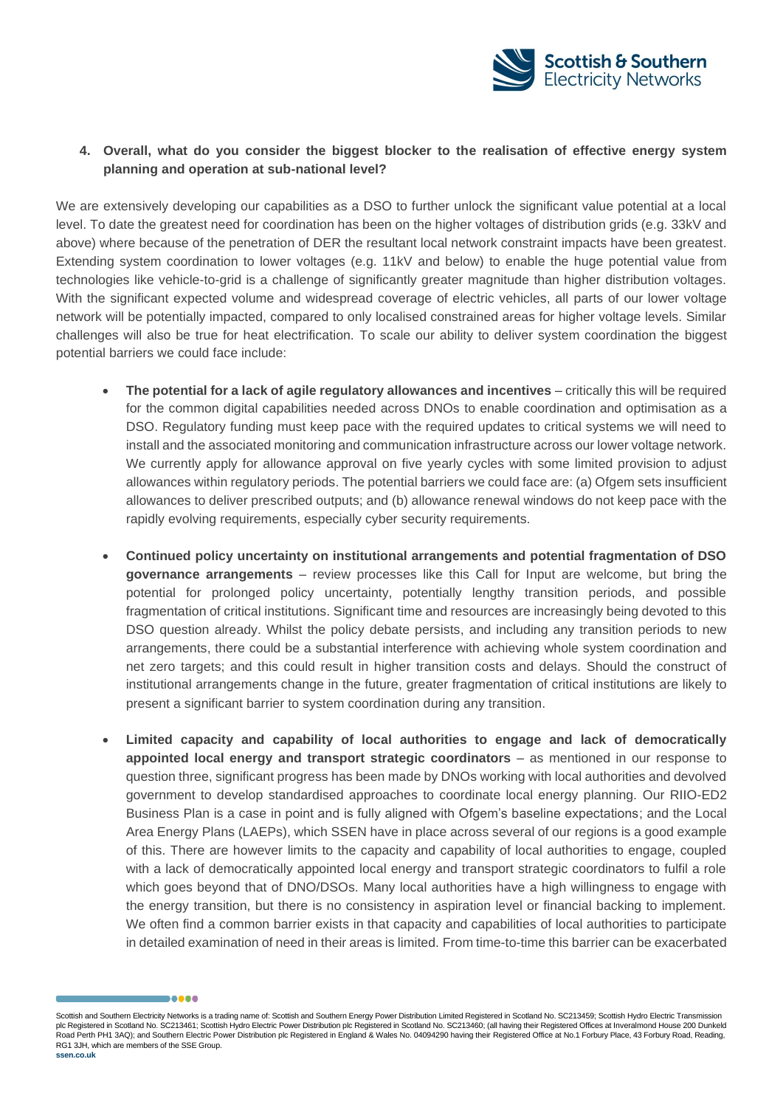![](_page_9_Picture_0.jpeg)

## **4. Overall, what do you consider the biggest blocker to the realisation of effective energy system planning and operation at sub-national level?**

We are extensively developing our capabilities as a DSO to further unlock the significant value potential at a local level. To date the greatest need for coordination has been on the higher voltages of distribution grids (e.g. 33kV and above) where because of the penetration of DER the resultant local network constraint impacts have been greatest. Extending system coordination to lower voltages (e.g. 11kV and below) to enable the huge potential value from technologies like vehicle-to-grid is a challenge of significantly greater magnitude than higher distribution voltages. With the significant expected volume and widespread coverage of electric vehicles, all parts of our lower voltage network will be potentially impacted, compared to only localised constrained areas for higher voltage levels. Similar challenges will also be true for heat electrification. To scale our ability to deliver system coordination the biggest potential barriers we could face include:

- **The potential for a lack of agile regulatory allowances and incentives** critically this will be required for the common digital capabilities needed across DNOs to enable coordination and optimisation as a DSO. Regulatory funding must keep pace with the required updates to critical systems we will need to install and the associated monitoring and communication infrastructure across our lower voltage network. We currently apply for allowance approval on five yearly cycles with some limited provision to adjust allowances within regulatory periods. The potential barriers we could face are: (a) Ofgem sets insufficient allowances to deliver prescribed outputs; and (b) allowance renewal windows do not keep pace with the rapidly evolving requirements, especially cyber security requirements.
- **Continued policy uncertainty on institutional arrangements and potential fragmentation of DSO governance arrangements** – review processes like this Call for Input are welcome, but bring the potential for prolonged policy uncertainty, potentially lengthy transition periods, and possible fragmentation of critical institutions. Significant time and resources are increasingly being devoted to this DSO question already. Whilst the policy debate persists, and including any transition periods to new arrangements, there could be a substantial interference with achieving whole system coordination and net zero targets; and this could result in higher transition costs and delays. Should the construct of institutional arrangements change in the future, greater fragmentation of critical institutions are likely to present a significant barrier to system coordination during any transition.
- **Limited capacity and capability of local authorities to engage and lack of democratically appointed local energy and transport strategic coordinators** – as mentioned in our response to question three, significant progress has been made by DNOs working with local authorities and devolved government to develop standardised approaches to coordinate local energy planning. Our RIIO-ED2 Business Plan is a case in point and is fully aligned with Ofgem's baseline expectations; and the Local Area Energy Plans (LAEPs), which SSEN have in place across several of our regions is a good example of this. There are however limits to the capacity and capability of local authorities to engage, coupled with a lack of democratically appointed local energy and transport strategic coordinators to fulfil a role which goes beyond that of DNO/DSOs. Many local authorities have a high willingness to engage with the energy transition, but there is no consistency in aspiration level or financial backing to implement. We often find a common barrier exists in that capacity and capabilities of local authorities to participate in detailed examination of need in their areas is limited. From time-to-time this barrier can be exacerbated

Scottish and Southern Electricity Networks is a trading name of: Scottish and Southern Energy Power Distribution Limited Registered in Scotland No. SC213459; Scottish Hydro Electric Transmission plc Registered in Scotland No. SC213461; Scottish Hydro Electric Power Distribution plc Registered in Scotland No. SC213460; (all having their Registered Offices at Inveralmond House 200 Dunkeld Road Perth PH1 3AQ); and Southern Electric Power Distribution plc Registered in England & Wales No. 04094290 having their Registered Office at No.1 Forbury Place, 43 Forbury Road, Reading, RG1 3JH, which are members of the SSE Group. **ssen.co.uk**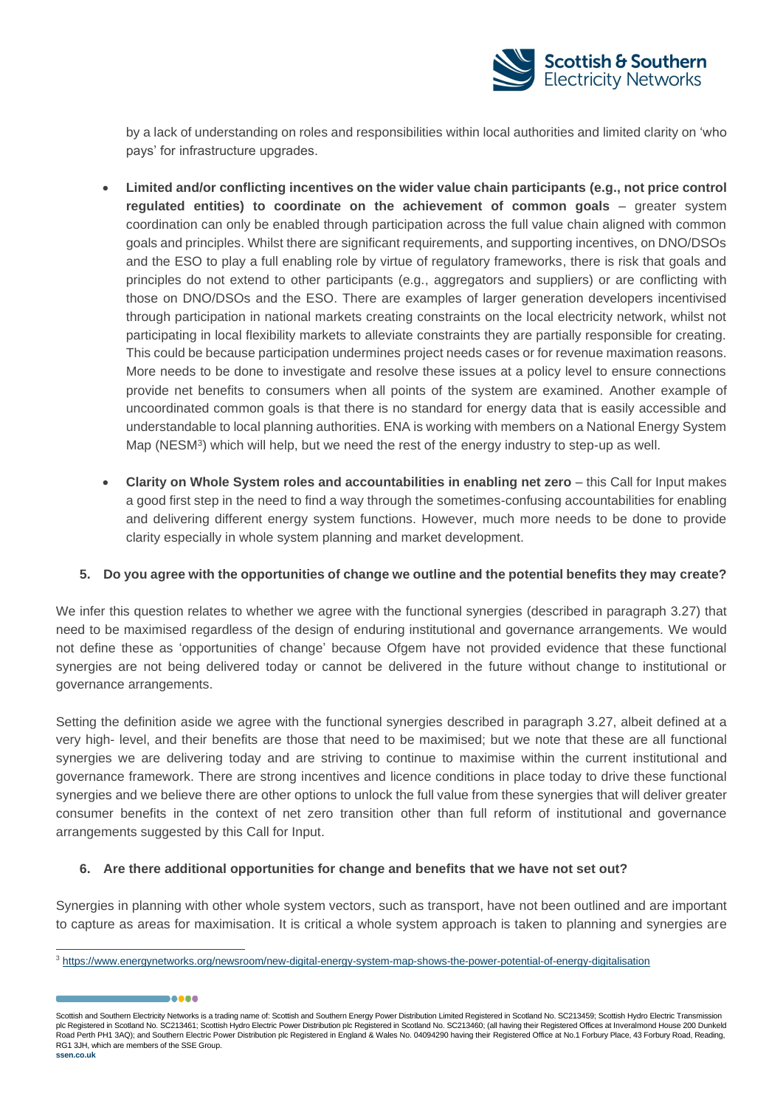![](_page_10_Picture_0.jpeg)

by a lack of understanding on roles and responsibilities within local authorities and limited clarity on 'who pays' for infrastructure upgrades.

- **Limited and/or conflicting incentives on the wider value chain participants (e.g., not price control regulated entities) to coordinate on the achievement of common goals** – greater system coordination can only be enabled through participation across the full value chain aligned with common goals and principles. Whilst there are significant requirements, and supporting incentives, on DNO/DSOs and the ESO to play a full enabling role by virtue of regulatory frameworks, there is risk that goals and principles do not extend to other participants (e.g., aggregators and suppliers) or are conflicting with those on DNO/DSOs and the ESO. There are examples of larger generation developers incentivised through participation in national markets creating constraints on the local electricity network, whilst not participating in local flexibility markets to alleviate constraints they are partially responsible for creating. This could be because participation undermines project needs cases or for revenue maximation reasons. More needs to be done to investigate and resolve these issues at a policy level to ensure connections provide net benefits to consumers when all points of the system are examined. Another example of uncoordinated common goals is that there is no standard for energy data that is easily accessible and understandable to local planning authorities. ENA is working with members on a National Energy System Map (NESM<sup>3</sup>) which will help, but we need the rest of the energy industry to step-up as well.
- **Clarity on Whole System roles and accountabilities in enabling net zero** this Call for Input makes a good first step in the need to find a way through the sometimes-confusing accountabilities for enabling and delivering different energy system functions. However, much more needs to be done to provide clarity especially in whole system planning and market development.

## **5. Do you agree with the opportunities of change we outline and the potential benefits they may create?**

We infer this question relates to whether we agree with the functional synergies (described in paragraph 3.27) that need to be maximised regardless of the design of enduring institutional and governance arrangements. We would not define these as 'opportunities of change' because Ofgem have not provided evidence that these functional synergies are not being delivered today or cannot be delivered in the future without change to institutional or governance arrangements.

Setting the definition aside we agree with the functional synergies described in paragraph 3.27, albeit defined at a very high- level, and their benefits are those that need to be maximised; but we note that these are all functional synergies we are delivering today and are striving to continue to maximise within the current institutional and governance framework. There are strong incentives and licence conditions in place today to drive these functional synergies and we believe there are other options to unlock the full value from these synergies that will deliver greater consumer benefits in the context of net zero transition other than full reform of institutional and governance arrangements suggested by this Call for Input.

## **6. Are there additional opportunities for change and benefits that we have not set out?**

Synergies in planning with other whole system vectors, such as transport, have not been outlined and are important to capture as areas for maximisation. It is critical a whole system approach is taken to planning and synergies are

Scottish and Southern Electricity Networks is a trading name of: Scottish and Southern Energy Power Distribution Limited Registered in Scotland No. SC213459; Scottish Hydro Electric Transmission plc Registered in Scotland No. SC213461; Scottish Hydro Electric Power Distribution plc Registered in Scotland No. SC213460; (all having their Registered Offices at Inveralmond House 200 Dunkeld Road Perth PH1 3AQ); and Southern Electric Power Distribution plc Registered in England & Wales No. 04094290 having their Registered Office at No.1 Forbury Place, 43 Forbury Road, Reading, RG1 3JH, which are members of the SSE Group.

<sup>3</sup> <https://www.energynetworks.org/newsroom/new-digital-energy-system-map-shows-the-power-potential-of-energy-digitalisation>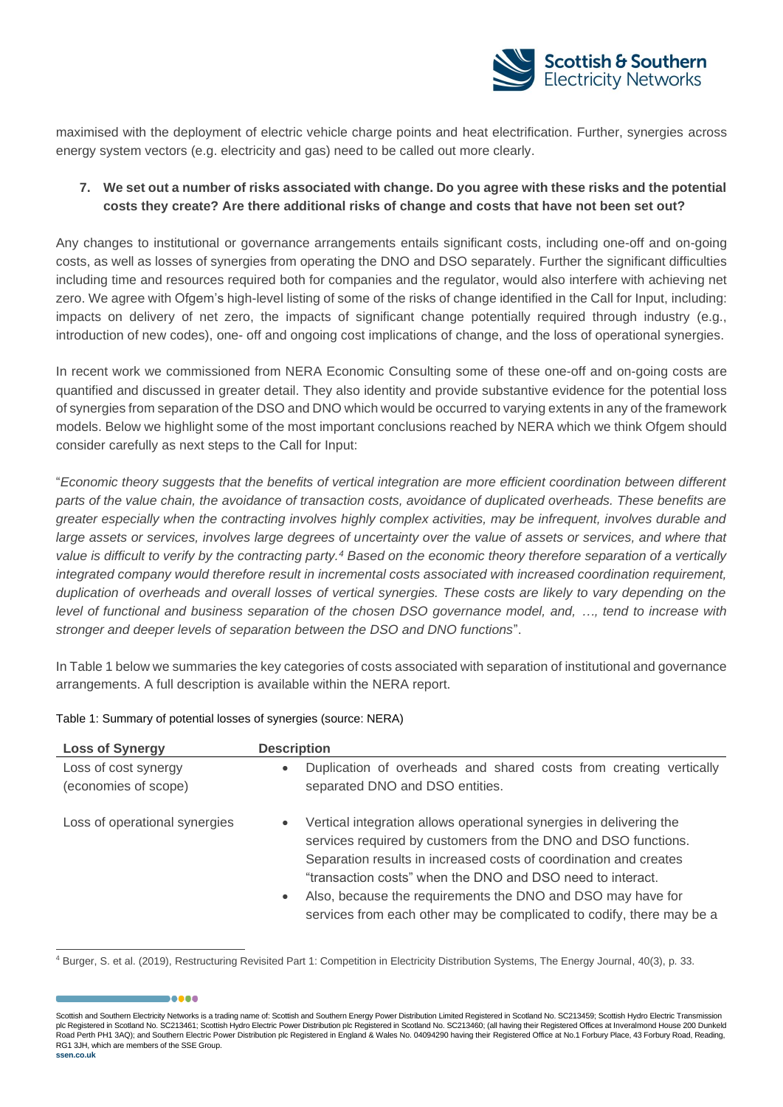![](_page_11_Picture_0.jpeg)

maximised with the deployment of electric vehicle charge points and heat electrification. Further, synergies across energy system vectors (e.g. electricity and gas) need to be called out more clearly.

## **7. We set out a number of risks associated with change. Do you agree with these risks and the potential costs they create? Are there additional risks of change and costs that have not been set out?**

Any changes to institutional or governance arrangements entails significant costs, including one-off and on-going costs, as well as losses of synergies from operating the DNO and DSO separately. Further the significant difficulties including time and resources required both for companies and the regulator, would also interfere with achieving net zero. We agree with Ofgem's high-level listing of some of the risks of change identified in the Call for Input, including: impacts on delivery of net zero, the impacts of significant change potentially required through industry (e.g., introduction of new codes), one- off and ongoing cost implications of change, and the loss of operational synergies.

In recent work we commissioned from NERA Economic Consulting some of these one-off and on-going costs are quantified and discussed in greater detail. They also identity and provide substantive evidence for the potential loss of synergies from separation of the DSO and DNO which would be occurred to varying extents in any of the framework models. Below we highlight some of the most important conclusions reached by NERA which we think Ofgem should consider carefully as next steps to the Call for Input:

"*Economic theory suggests that the benefits of vertical integration are more efficient coordination between different parts of the value chain, the avoidance of transaction costs, avoidance of duplicated overheads. These benefits are greater especially when the contracting involves highly complex activities, may be infrequent, involves durable and*  large assets or services, involves large degrees of uncertainty over the value of assets or services, and where that *value is difficult to verify by the contracting party.<sup>4</sup> Based on the economic theory therefore separation of a vertically integrated company would therefore result in incremental costs associated with increased coordination requirement, duplication of overheads and overall losses of vertical synergies. These costs are likely to vary depending on the level of functional and business separation of the chosen DSO governance model, and, …, tend to increase with stronger and deeper levels of separation between the DSO and DNO functions*".

In Table 1 below we summaries the key categories of costs associated with separation of institutional and governance arrangements. A full description is available within the NERA report.

| <b>Loss of Synergy</b>                       | <b>Description</b>                                                                                                                                                                                                                                                                                                                                                                                                                         |
|----------------------------------------------|--------------------------------------------------------------------------------------------------------------------------------------------------------------------------------------------------------------------------------------------------------------------------------------------------------------------------------------------------------------------------------------------------------------------------------------------|
| Loss of cost synergy<br>(economies of scope) | Duplication of overheads and shared costs from creating vertically<br>$\bullet$<br>separated DNO and DSO entities.                                                                                                                                                                                                                                                                                                                         |
| Loss of operational synergies                | Vertical integration allows operational synergies in delivering the<br>$\bullet$<br>services required by customers from the DNO and DSO functions.<br>Separation results in increased costs of coordination and creates<br>"transaction costs" when the DNO and DSO need to interact.<br>Also, because the requirements the DNO and DSO may have for<br>$\bullet$<br>services from each other may be complicated to codify, there may be a |

#### Table 1: Summary of potential losses of synergies (source: NERA)

.....

Scottish and Southern Electricity Networks is a trading name of: Scottish and Southern Energy Power Distribution Limited Registered in Scotland No. SC213459; Scottish Hydro Electric Transmission plc Registered in Scotland No. SC213461; Scottish Hydro Electric Power Distribution plc Registered in Scotland No. SC213460; (all having their Registered Offices at Inveralmond House 200 Dunkeld Road Perth PH1 3AQ); and Southern Electric Power Distribution plc Registered in England & Wales No. 04094290 having their Registered Office at No.1 Forbury Place, 43 Forbury Road, Reading, RG1 3JH, which are members of the SSE Group. **ssen.co.uk**

<sup>4</sup> Burger, S. et al. (2019), Restructuring Revisited Part 1: Competition in Electricity Distribution Systems, The Energy Journal, 40(3), p. 33.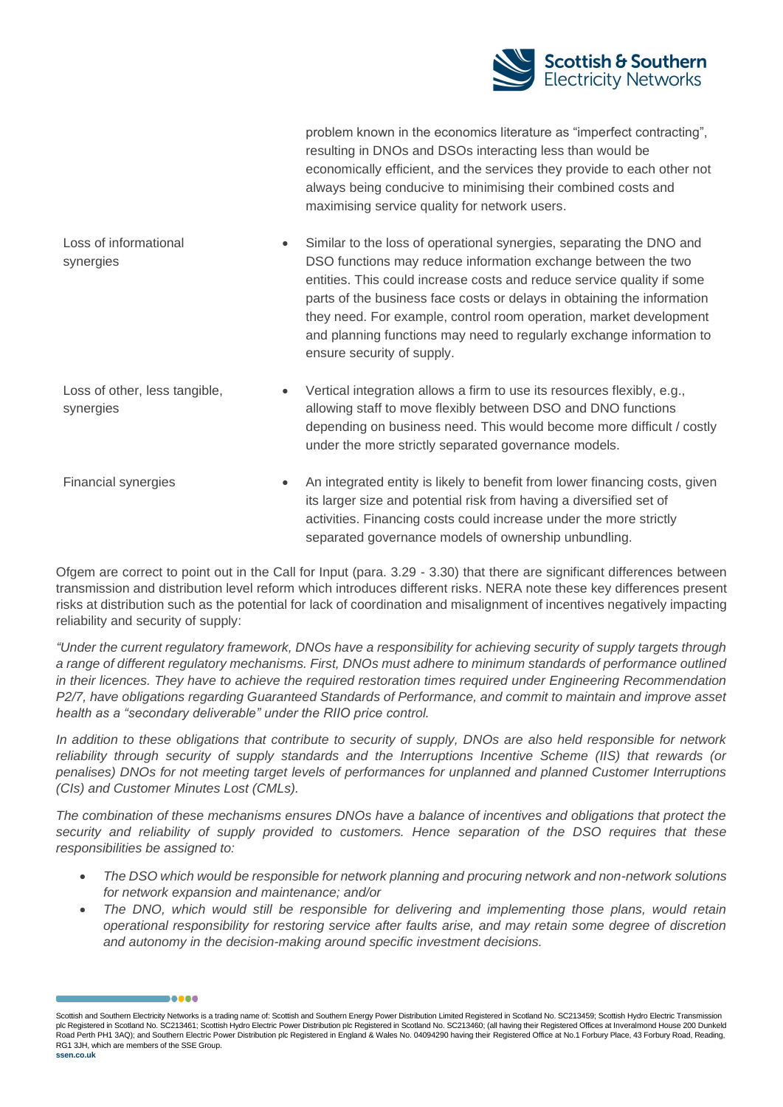![](_page_12_Picture_0.jpeg)

problem known in the economics literature as "imperfect contracting", resulting in DNOs and DSOs interacting less than would be economically efficient, and the services they provide to each other not always being conducive to minimising their combined costs and maximising service quality for network users.

Loss of informational synergies • Similar to the loss of operational synergies, separating the DNO and DSO functions may reduce information exchange between the two entities. This could increase costs and reduce service quality if some parts of the business face costs or delays in obtaining the information they need. For example, control room operation, market development and planning functions may need to regularly exchange information to ensure security of supply.

Loss of other, less tangible, synergies • Vertical integration allows a firm to use its resources flexibly, e.g., allowing staff to move flexibly between DSO and DNO functions depending on business need. This would become more difficult / costly under the more strictly separated governance models.

Financial synergies • An integrated entity is likely to benefit from lower financing costs, given its larger size and potential risk from having a diversified set of activities. Financing costs could increase under the more strictly separated governance models of ownership unbundling.

Ofgem are correct to point out in the Call for Input (para. 3.29 - 3.30) that there are significant differences between transmission and distribution level reform which introduces different risks. NERA note these key differences present risks at distribution such as the potential for lack of coordination and misalignment of incentives negatively impacting reliability and security of supply:

*"Under the current regulatory framework, DNOs have a responsibility for achieving security of supply targets through a range of different regulatory mechanisms. First, DNOs must adhere to minimum standards of performance outlined in their licences. They have to achieve the required restoration times required under Engineering Recommendation P2/7, have obligations regarding Guaranteed Standards of Performance, and commit to maintain and improve asset health as a "secondary deliverable" under the RIIO price control.* 

*In addition to these obligations that contribute to security of supply, DNOs are also held responsible for network reliability through security of supply standards and the Interruptions Incentive Scheme (IIS) that rewards (or penalises) DNOs for not meeting target levels of performances for unplanned and planned Customer Interruptions (CIs) and Customer Minutes Lost (CMLs).* 

*The combination of these mechanisms ensures DNOs have a balance of incentives and obligations that protect the security and reliability of supply provided to customers. Hence separation of the DSO requires that these responsibilities be assigned to:* 

- *The DSO which would be responsible for network planning and procuring network and non-network solutions for network expansion and maintenance; and/or*
- *The DNO, which would still be responsible for delivering and implementing those plans, would retain operational responsibility for restoring service after faults arise, and may retain some degree of discretion and autonomy in the decision-making around specific investment decisions.*

Scottish and Southern Electricity Networks is a trading name of: Scottish and Southern Energy Power Distribution Limited Registered in Scotland No. SC213459; Scottish Hydro Electric Transmission plc Registered in Scotland No. SC213461; Scottish Hydro Electric Power Distribution plc Registered in Scotland No. SC213460; (all having their Registered Offices at Inveralmond House 200 Dunkeld Road Perth PH1 3AQ); and Southern Electric Power Distribution plc Registered in England & Wales No. 04094290 having their Registered Office at No.1 Forbury Place, 43 Forbury Road, Reading, RG1 3JH, which are members of the SSE Group.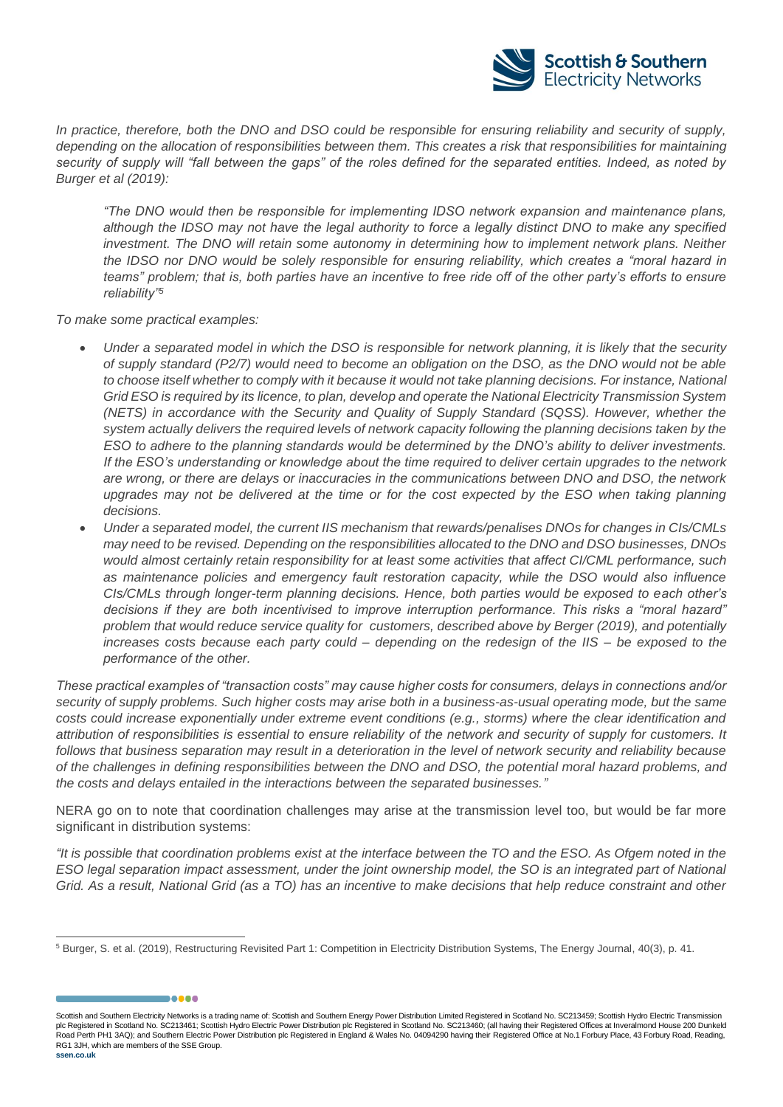![](_page_13_Picture_0.jpeg)

*In practice, therefore, both the DNO and DSO could be responsible for ensuring reliability and security of supply, depending on the allocation of responsibilities between them. This creates a risk that responsibilities for maintaining security of supply will "fall between the gaps" of the roles defined for the separated entities. Indeed, as noted by Burger et al (2019):* 

*"The DNO would then be responsible for implementing IDSO network expansion and maintenance plans, although the IDSO may not have the legal authority to force a legally distinct DNO to make any specified investment. The DNO will retain some autonomy in determining how to implement network plans. Neither the IDSO nor DNO would be solely responsible for ensuring reliability, which creates a "moral hazard in teams" problem; that is, both parties have an incentive to free ride off of the other party's efforts to ensure reliability"<sup>5</sup>*

*To make some practical examples:*

,,,,,

- *Under a separated model in which the DSO is responsible for network planning, it is likely that the security of supply standard (P2/7) would need to become an obligation on the DSO, as the DNO would not be able*  to choose itself whether to comply with it because it would not take planning decisions. For instance, National *Grid ESO is required by its licence, to plan, develop and operate the National Electricity Transmission System (NETS) in accordance with the Security and Quality of Supply Standard (SQSS). However, whether the system actually delivers the required levels of network capacity following the planning decisions taken by the ESO to adhere to the planning standards would be determined by the DNO's ability to deliver investments. If the ESO's understanding or knowledge about the time required to deliver certain upgrades to the network are wrong, or there are delays or inaccuracies in the communications between DNO and DSO, the network*  upgrades may not be delivered at the time or for the cost expected by the ESO when taking planning *decisions.*
- *Under a separated model, the current IIS mechanism that rewards/penalises DNOs for changes in CIs/CMLs may need to be revised. Depending on the responsibilities allocated to the DNO and DSO businesses, DNOs would almost certainly retain responsibility for at least some activities that affect CI/CML performance, such as maintenance policies and emergency fault restoration capacity, while the DSO would also influence CIs/CMLs through longer-term planning decisions. Hence, both parties would be exposed to each other's decisions if they are both incentivised to improve interruption performance. This risks a "moral hazard" problem that would reduce service quality for customers, described above by Berger (2019), and potentially increases costs because each party could – depending on the redesign of the IIS – be exposed to the performance of the other.*

*These practical examples of "transaction costs" may cause higher costs for consumers, delays in connections and/or security of supply problems. Such higher costs may arise both in a business-as-usual operating mode, but the same costs could increase exponentially under extreme event conditions (e.g., storms) where the clear identification and attribution of responsibilities is essential to ensure reliability of the network and security of supply for customers. It follows that business separation may result in a deterioration in the level of network security and reliability because of the challenges in defining responsibilities between the DNO and DSO, the potential moral hazard problems, and the costs and delays entailed in the interactions between the separated businesses."*

NERA go on to note that coordination challenges may arise at the transmission level too, but would be far more significant in distribution systems:

*"It is possible that coordination problems exist at the interface between the TO and the ESO. As Ofgem noted in the ESO legal separation impact assessment, under the joint ownership model, the SO is an integrated part of National Grid. As a result, National Grid (as a TO) has an incentive to make decisions that help reduce constraint and other* 

Scottish and Southern Electricity Networks is a trading name of: Scottish and Southern Energy Power Distribution Limited Registered in Scotland No. SC213459; Scottish Hydro Electric Transmission plc Registered in Scotland No. SC213461; Scottish Hydro Electric Power Distribution plc Registered in Scotland No. SC213460; (all having their Registered Offices at Inveralmond House 200 Dunkeld Road Perth PH1 3AQ); and Southern Electric Power Distribution plc Registered in England & Wales No. 04094290 having their Registered Office at No.1 Forbury Place, 43 Forbury Road, Reading, RG1 3JH, which are members of the SSE Group. **ssen.co.uk**

<sup>5</sup> Burger, S. et al. (2019), Restructuring Revisited Part 1: Competition in Electricity Distribution Systems, The Energy Journal, 40(3), p. 41.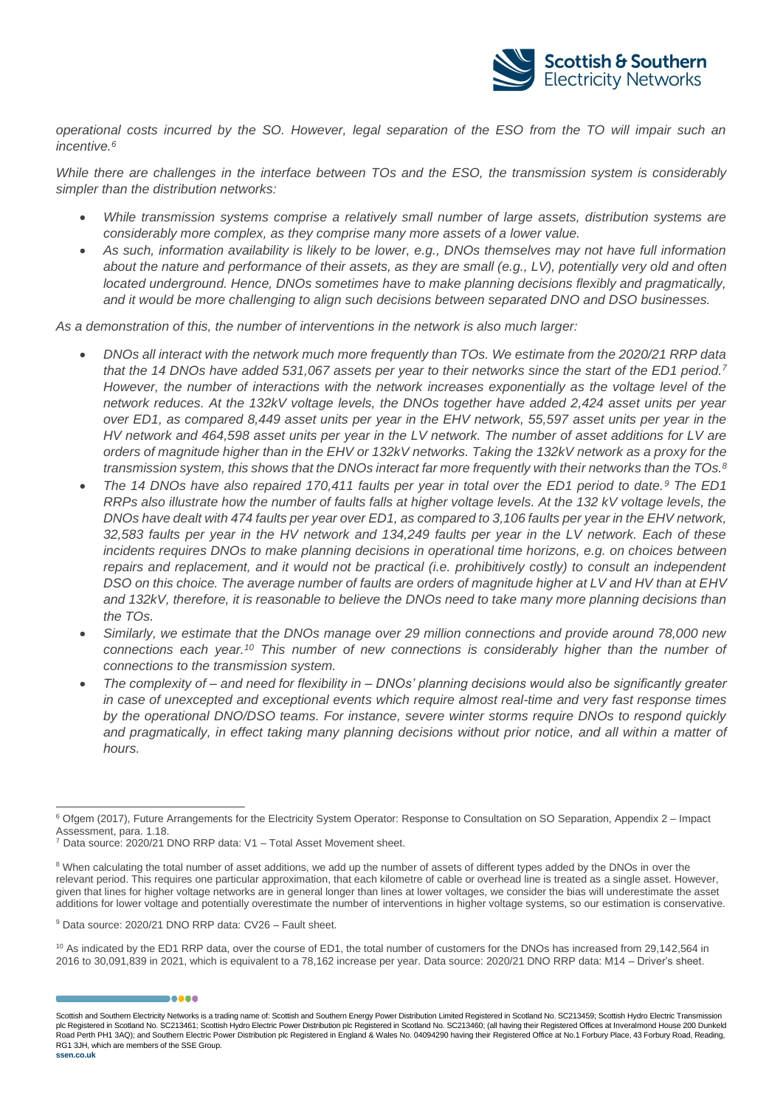![](_page_14_Picture_0.jpeg)

*operational costs incurred by the SO. However, legal separation of the ESO from the TO will impair such an incentive.<sup>6</sup>*

*While there are challenges in the interface between TOs and the ESO, the transmission system is considerably simpler than the distribution networks:*

- *While transmission systems comprise a relatively small number of large assets, distribution systems are considerably more complex, as they comprise many more assets of a lower value.*
- *As such, information availability is likely to be lower, e.g., DNOs themselves may not have full information about the nature and performance of their assets, as they are small (e.g., LV), potentially very old and often located underground. Hence, DNOs sometimes have to make planning decisions flexibly and pragmatically, and it would be more challenging to align such decisions between separated DNO and DSO businesses.*

*As a demonstration of this, the number of interventions in the network is also much larger:*

- *DNOs all interact with the network much more frequently than TOs. We estimate from the 2020/21 RRP data that the 14 DNOs have added 531,067 assets per year to their networks since the start of the ED1 period.<sup>7</sup> However, the number of interactions with the network increases exponentially as the voltage level of the network reduces. At the 132kV voltage levels, the DNOs together have added 2,424 asset units per year over ED1, as compared 8,449 asset units per year in the EHV network, 55,597 asset units per year in the HV network and 464,598 asset units per year in the LV network. The number of asset additions for LV are orders of magnitude higher than in the EHV or 132kV networks. Taking the 132kV network as a proxy for the transmission system, this shows that the DNOs interact far more frequently with their networks than the TOs.<sup>8</sup>*
- *The 14 DNOs have also repaired 170,411 faults per year in total over the ED1 period to date.<sup>9</sup> The ED1 RRPs also illustrate how the number of faults falls at higher voltage levels. At the 132 kV voltage levels, the DNOs have dealt with 474 faults per year over ED1, as compared to 3,106 faults per year in the EHV network, 32,583 faults per year in the HV network and 134,249 faults per year in the LV network. Each of these incidents requires DNOs to make planning decisions in operational time horizons, e.g. on choices between repairs and replacement, and it would not be practical (i.e. prohibitively costly) to consult an independent DSO on this choice. The average number of faults are orders of magnitude higher at LV and HV than at EHV and 132kV, therefore, it is reasonable to believe the DNOs need to take many more planning decisions than the TOs.*
- *Similarly, we estimate that the DNOs manage over 29 million connections and provide around 78,000 new connections each year.<sup>10</sup> This number of new connections is considerably higher than the number of connections to the transmission system.*
- *The complexity of – and need for flexibility in – DNOs' planning decisions would also be significantly greater in case of unexcepted and exceptional events which require almost real-time and very fast response times by the operational DNO/DSO teams. For instance, severe winter storms require DNOs to respond quickly*  and pragmatically, in effect taking many planning decisions without prior notice, and all within a matter of *hours.*

<sup>9</sup> Data source: 2020/21 DNO RRP data: CV26 – Fault sheet.

.....

<sup>10</sup> As indicated by the ED1 RRP data, over the course of ED1, the total number of customers for the DNOs has increased from 29,142,564 in 2016 to 30,091,839 in 2021, which is equivalent to a 78,162 increase per year. Data source: 2020/21 DNO RRP data: M14 – Driver's sheet.

Scottish and Southern Electricity Networks is a trading name of: Scottish and Southern Energy Power Distribution Limited Registered in Scotland No. SC213459; Scottish Hydro Electric Transmission plc Registered in Scotland No. SC213461; Scottish Hydro Electric Power Distribution plc Registered in Scotland No. SC213460; (all having their Registered Offices at Inveralmond House 200 Dunkeld Road Perth PH1 3AQ); and Southern Electric Power Distribution plc Registered in England & Wales No. 04094290 having their Registered Office at No.1 Forbury Place, 43 Forbury Road, Reading, RG1 3JH, which are members of the SSE Group.

<sup>&</sup>lt;sup>6</sup> Ofgem (2017), Future Arrangements for the Electricity System Operator: Response to Consultation on SO Separation, Appendix 2 – Impact Assessment, para. 1.18.

 $7$  Data source: 2020/21 DNO RRP data: V1 – Total Asset Movement sheet.

<sup>&</sup>lt;sup>8</sup> When calculating the total number of asset additions, we add up the number of assets of different types added by the DNOs in over the relevant period. This requires one particular approximation, that each kilometre of cable or overhead line is treated as a single asset. However, given that lines for higher voltage networks are in general longer than lines at lower voltages, we consider the bias will underestimate the asset additions for lower voltage and potentially overestimate the number of interventions in higher voltage systems, so our estimation is conservative.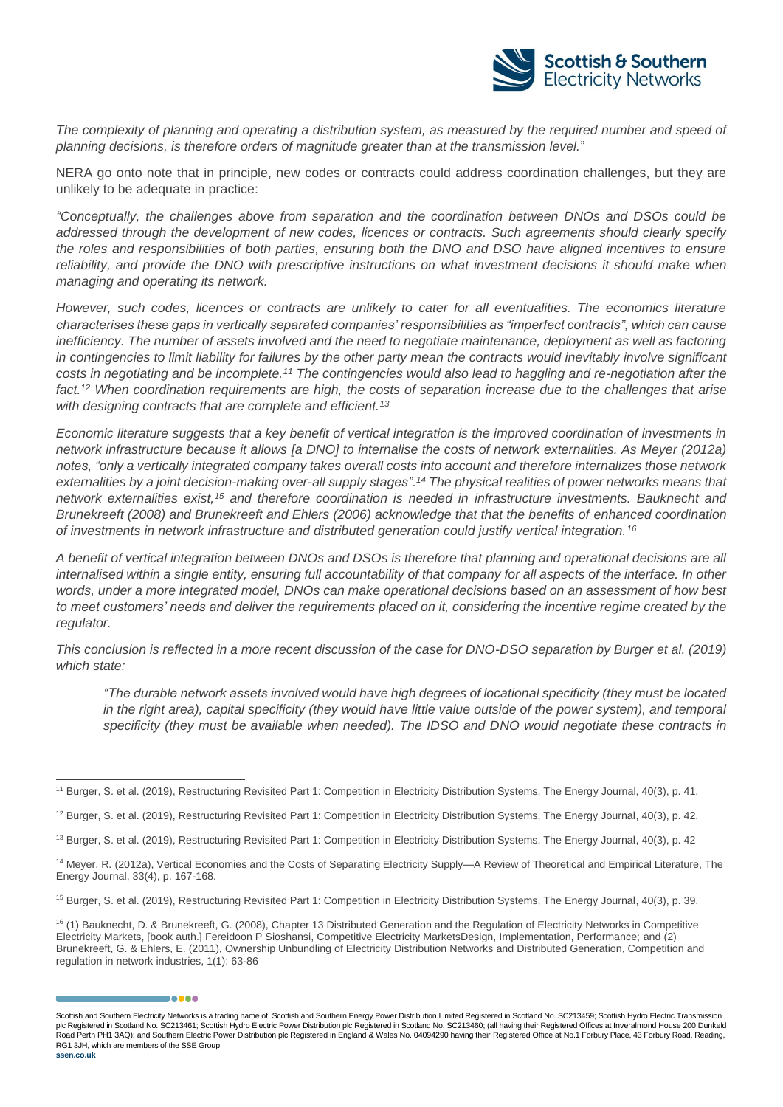![](_page_15_Picture_0.jpeg)

*The complexity of planning and operating a distribution system, as measured by the required number and speed of planning decisions, is therefore orders of magnitude greater than at the transmission level.*"

NERA go onto note that in principle, new codes or contracts could address coordination challenges, but they are unlikely to be adequate in practice:

*"Conceptually, the challenges above from separation and the coordination between DNOs and DSOs could be addressed through the development of new codes, licences or contracts. Such agreements should clearly specify the roles and responsibilities of both parties, ensuring both the DNO and DSO have aligned incentives to ensure reliability, and provide the DNO with prescriptive instructions on what investment decisions it should make when managing and operating its network.* 

*However, such codes, licences or contracts are unlikely to cater for all eventualities. The economics literature characterises these gaps in vertically separated companies' responsibilities as "imperfect contracts", which can cause inefficiency. The number of assets involved and the need to negotiate maintenance, deployment as well as factoring* in contingencies to limit liability for failures by the other party mean the contracts would inevitably involve significant *costs in negotiating and be incomplete.<sup>11</sup> The contingencies would also lead to haggling and re-negotiation after the fact.<sup>12</sup> When coordination requirements are high, the costs of separation increase due to the challenges that arise with designing contracts that are complete and efficient.<sup>13</sup>*

*Economic literature suggests that a key benefit of vertical integration is the improved coordination of investments in network infrastructure because it allows [a DNO] to internalise the costs of network externalities. As Meyer (2012a) notes, "only a vertically integrated company takes overall costs into account and therefore internalizes those network externalities by a joint decision-making over-all supply stages".<sup>14</sup> The physical realities of power networks means that network externalities exist,<sup>15</sup> and therefore coordination is needed in infrastructure investments. Bauknecht and Brunekreeft (2008) and Brunekreeft and Ehlers (2006) acknowledge that that the benefits of enhanced coordination of investments in network infrastructure and distributed generation could justify vertical integration.<sup>16</sup>*

*A benefit of vertical integration between DNOs and DSOs is therefore that planning and operational decisions are all internalised within a single entity, ensuring full accountability of that company for all aspects of the interface. In other words, under a more integrated model, DNOs can make operational decisions based on an assessment of how best to meet customers' needs and deliver the requirements placed on it, considering the incentive regime created by the regulator.* 

*This conclusion is reflected in a more recent discussion of the case for DNO-DSO separation by Burger et al. (2019) which state:* 

*"The durable network assets involved would have high degrees of locational specificity (they must be located in the right area), capital specificity (they would have little value outside of the power system), and temporal specificity (they must be available when needed). The IDSO and DNO would negotiate these contracts in* 

,,,,,

<sup>11</sup> Burger, S. et al. (2019), Restructuring Revisited Part 1: Competition in Electricity Distribution Systems, The Energy Journal, 40(3), p. 41.

<sup>&</sup>lt;sup>12</sup> Burger, S. et al. (2019), Restructuring Revisited Part 1: Competition in Electricity Distribution Systems, The Energy Journal, 40(3), p. 42.

<sup>&</sup>lt;sup>13</sup> Burger, S. et al. (2019), Restructuring Revisited Part 1: Competition in Electricity Distribution Systems, The Energy Journal, 40(3), p. 42

<sup>&</sup>lt;sup>14</sup> Meyer, R. (2012a), Vertical Economies and the Costs of Separating Electricity Supply—A Review of Theoretical and Empirical Literature, The Energy Journal, 33(4), p. 167-168.

<sup>&</sup>lt;sup>15</sup> Burger, S. et al. (2019), Restructuring Revisited Part 1: Competition in Electricity Distribution Systems, The Energy Journal, 40(3), p. 39.

<sup>&</sup>lt;sup>16</sup> (1) Bauknecht, D. & Brunekreeft, G. (2008), Chapter 13 Distributed Generation and the Regulation of Electricity Networks in Competitive Electricity Markets, [book auth.] Fereidoon P Sioshansi, Competitive Electricity MarketsDesign, Implementation, Performance; and (2) Brunekreeft, G. & Ehlers, E. (2011), Ownership Unbundling of Electricity Distribution Networks and Distributed Generation, Competition and regulation in network industries, 1(1): 63-86

Scottish and Southern Electricity Networks is a trading name of: Scottish and Southern Energy Power Distribution Limited Registered in Scotland No. SC213459; Scottish Hydro Electric Transmission plc Registered in Scotland No. SC213461; Scottish Hydro Electric Power Distribution plc Registered in Scotland No. SC213460; (all having their Registered Offices at Inveralmond House 200 Dunkeld Road Perth PH1 3AQ); and Southern Electric Power Distribution plc Registered in England & Wales No. 04094290 having their Registered Office at No.1 Forbury Place, 43 Forbury Road, Reading, RG1 3JH, which are members of the SSE Group.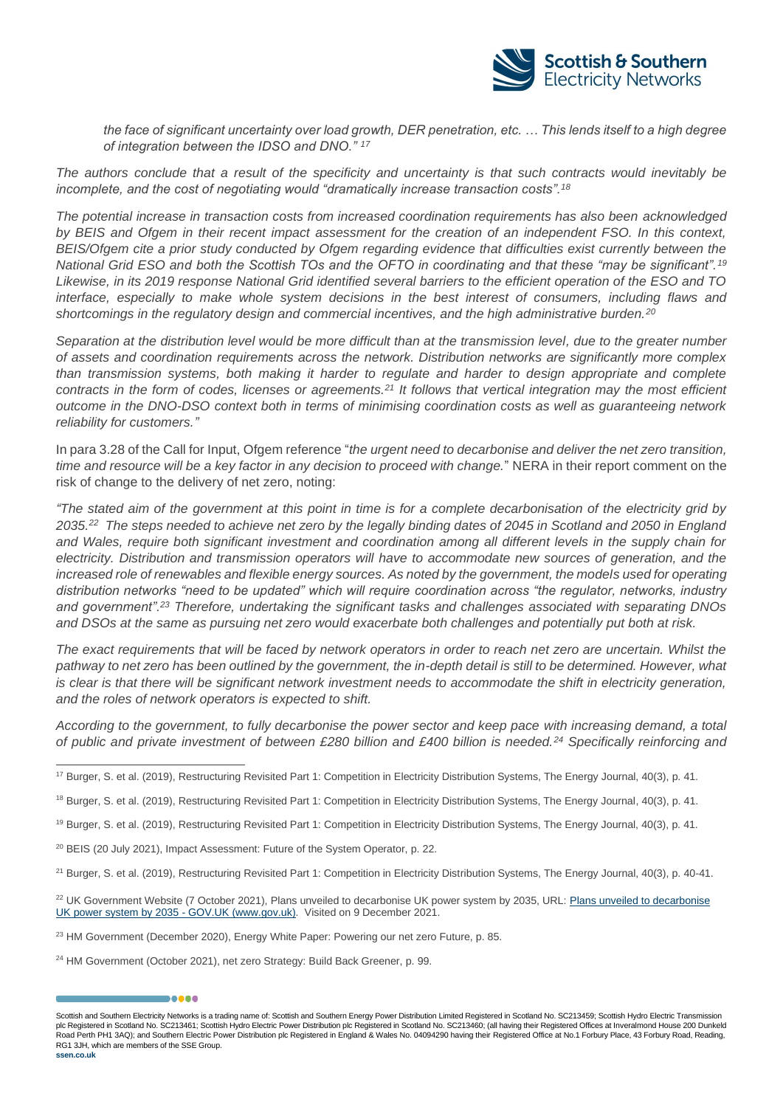![](_page_16_Picture_0.jpeg)

*the face of significant uncertainty over load growth, DER penetration, etc. … This lends itself to a high degree of integration between the IDSO and DNO." <sup>17</sup>*

*The authors conclude that a result of the specificity and uncertainty is that such contracts would inevitably be incomplete, and the cost of negotiating would "dramatically increase transaction costs".<sup>18</sup>*

*The potential increase in transaction costs from increased coordination requirements has also been acknowledged by BEIS and Ofgem in their recent impact assessment for the creation of an independent FSO. In this context, BEIS/Ofgem cite a prior study conducted by Ofgem regarding evidence that difficulties exist currently between the National Grid ESO and both the Scottish TOs and the OFTO in coordinating and that these "may be significant".<sup>19</sup> Likewise, in its 2019 response National Grid identified several barriers to the efficient operation of the ESO and TO interface, especially to make whole system decisions in the best interest of consumers, including flaws and shortcomings in the regulatory design and commercial incentives, and the high administrative burden.<sup>20</sup>*

*Separation at the distribution level would be more difficult than at the transmission level, due to the greater number of assets and coordination requirements across the network. Distribution networks are significantly more complex than transmission systems, both making it harder to regulate and harder to design appropriate and complete contracts in the form of codes, licenses or agreements.<sup>21</sup> It follows that vertical integration may the most efficient outcome in the DNO-DSO context both in terms of minimising coordination costs as well as guaranteeing network reliability for customers."*

In para 3.28 of the Call for Input, Ofgem reference "*the urgent need to decarbonise and deliver the net zero transition, time and resource will be a key factor in any decision to proceed with change.*" NERA in their report comment on the risk of change to the delivery of net zero, noting:

*"The stated aim of the government at this point in time is for a complete decarbonisation of the electricity grid by 2035.<sup>22</sup> The steps needed to achieve net zero by the legally binding dates of 2045 in Scotland and 2050 in England and Wales, require both significant investment and coordination among all different levels in the supply chain for electricity. Distribution and transmission operators will have to accommodate new sources of generation, and the increased role of renewables and flexible energy sources. As noted by the government, the models used for operating distribution networks "need to be updated" which will require coordination across "the regulator, networks, industry and government".<sup>23</sup> Therefore, undertaking the significant tasks and challenges associated with separating DNOs and DSOs at the same as pursuing net zero would exacerbate both challenges and potentially put both at risk.*

*The exact requirements that will be faced by network operators in order to reach net zero are uncertain. Whilst the*  pathway to net zero has been outlined by the government, the in-depth detail is still to be determined. However, what *is* clear is that there will be significant network investment needs to accommodate the shift in electricity generation, *and the roles of network operators is expected to shift.*

*According to the government, to fully decarbonise the power sector and keep pace with increasing demand, a total of public and private investment of between £280 billion and £400 billion is needed.<sup>24</sup> Specifically reinforcing and* 

- <sup>20</sup> BEIS (20 July 2021), Impact Assessment: Future of the System Operator, p. 22.
- <sup>21</sup> Burger, S. et al. (2019), Restructuring Revisited Part 1: Competition in Electricity Distribution Systems, The Energy Journal, 40(3), p. 40-41.
- <sup>22</sup> UK Government Website (7 October 2021), [Plans unveiled to decarbonise](https://www.gov.uk/government/news/plans-unveiled-to-decarbonise-uk-power-system-by-2035) UK power system by 2035, URL: Plans unveiled to decarbonise [UK power system by 2035 -](https://www.gov.uk/government/news/plans-unveiled-to-decarbonise-uk-power-system-by-2035) GOV.UK (www.gov.uk). Visited on 9 December 2021.
- <sup>23</sup> HM Government (December 2020), Energy White Paper: Powering our net zero Future, p. 85.
- <sup>24</sup> HM Government (October 2021), net zero Strategy: Build Back Greener, p. 99.

,,,,,

<sup>&</sup>lt;sup>17</sup> Burger, S. et al. (2019), Restructuring Revisited Part 1: Competition in Electricity Distribution Systems, The Energy Journal, 40(3), p. 41.

<sup>&</sup>lt;sup>18</sup> Burger, S. et al. (2019), Restructuring Revisited Part 1: Competition in Electricity Distribution Systems, The Energy Journal, 40(3), p. 41.

<sup>&</sup>lt;sup>19</sup> Burger, S. et al. (2019), Restructuring Revisited Part 1: Competition in Electricity Distribution Systems, The Energy Journal, 40(3), p. 41.

Scottish and Southern Electricity Networks is a trading name of: Scottish and Southern Energy Power Distribution Limited Registered in Scotland No. SC213459; Scottish Hydro Electric Transmission plc Registered in Scotland No. SC213461; Scottish Hydro Electric Power Distribution plc Registered in Scotland No. SC213460; (all having their Registered Offices at Inveralmond House 200 Dunkeld Road Perth PH1 3AQ); and Southern Electric Power Distribution plc Registered in England & Wales No. 04094290 having their Registered Office at No.1 Forbury Place, 43 Forbury Road, Reading, RG1 3JH, which are members of the SSE Group.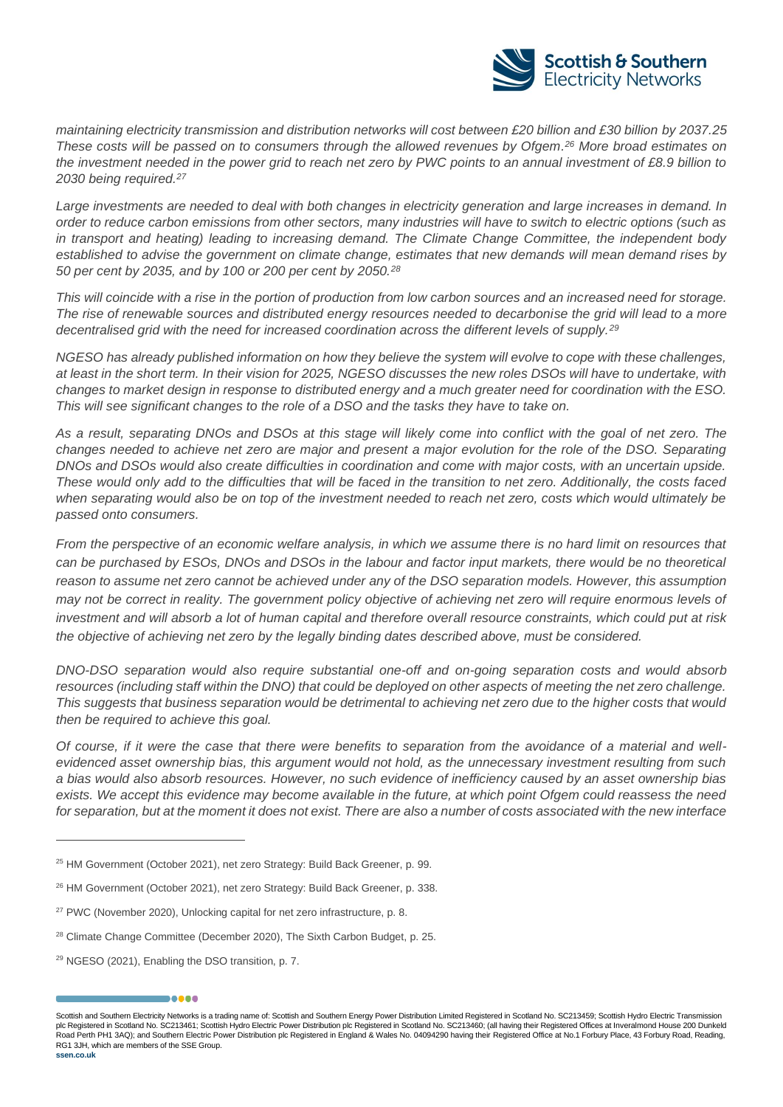![](_page_17_Picture_0.jpeg)

*maintaining electricity transmission and distribution networks will cost between £20 billion and £30 billion by 2037.25 These costs will be passed on to consumers through the allowed revenues by Ofgem. <sup>26</sup> More broad estimates on*  the investment needed in the power grid to reach net zero by PWC points to an annual investment of £8.9 billion to *2030 being required.<sup>27</sup>*

Large investments are needed to deal with both changes in electricity generation and large increases in demand. In *order to reduce carbon emissions from other sectors, many industries will have to switch to electric options (such as in transport and heating) leading to increasing demand. The Climate Change Committee, the independent body established to advise the government on climate change, estimates that new demands will mean demand rises by 50 per cent by 2035, and by 100 or 200 per cent by 2050.<sup>28</sup>*

*This will coincide with a rise in the portion of production from low carbon sources and an increased need for storage. The rise of renewable sources and distributed energy resources needed to decarbonise the grid will lead to a more decentralised grid with the need for increased coordination across the different levels of supply.<sup>29</sup>*

*NGESO has already published information on how they believe the system will evolve to cope with these challenges, at least in the short term. In their vision for 2025, NGESO discusses the new roles DSOs will have to undertake, with changes to market design in response to distributed energy and a much greater need for coordination with the ESO. This will see significant changes to the role of a DSO and the tasks they have to take on.*

*As a result, separating DNOs and DSOs at this stage will likely come into conflict with the goal of net zero. The changes needed to achieve net zero are major and present a major evolution for the role of the DSO. Separating DNOs and DSOs would also create difficulties in coordination and come with major costs, with an uncertain upside. These would only add to the difficulties that will be faced in the transition to net zero. Additionally, the costs faced when separating would also be on top of the investment needed to reach net zero, costs which would ultimately be passed onto consumers.*

*From the perspective of an economic welfare analysis, in which we assume there is no hard limit on resources that can be purchased by ESOs, DNOs and DSOs in the labour and factor input markets, there would be no theoretical reason to assume net zero cannot be achieved under any of the DSO separation models. However, this assumption may not be correct in reality. The government policy objective of achieving net zero will require enormous levels of investment and will absorb a lot of human capital and therefore overall resource constraints, which could put at risk the objective of achieving net zero by the legally binding dates described above, must be considered.*

*DNO-DSO separation would also require substantial one-off and on-going separation costs and would absorb*  resources (including staff within the DNO) that could be deployed on other aspects of meeting the net zero challenge. *This suggests that business separation would be detrimental to achieving net zero due to the higher costs that would then be required to achieve this goal.*

*Of course, if it were the case that there were benefits to separation from the avoidance of a material and wellevidenced asset ownership bias, this argument would not hold, as the unnecessary investment resulting from such a bias would also absorb resources. However, no such evidence of inefficiency caused by an asset ownership bias exists. We accept this evidence may become available in the future, at which point Ofgem could reassess the need for separation, but at the moment it does not exist. There are also a number of costs associated with the new interface* 

,,,,,

Scottish and Southern Electricity Networks is a trading name of: Scottish and Southern Energy Power Distribution Limited Registered in Scotland No. SC213459; Scottish Hydro Electric Transmission plc Registered in Scotland No. SC213461; Scottish Hydro Electric Power Distribution plc Registered in Scotland No. SC213460; (all having their Registered Offices at Inveralmond House 200 Dunkeld Road Perth PH1 3AQ); and Southern Electric Power Distribution plc Registered in England & Wales No. 04094290 having their Registered Office at No.1 Forbury Place, 43 Forbury Road, Reading, RG1 3JH, which are members of the SSE Group.

<sup>&</sup>lt;sup>25</sup> HM Government (October 2021), net zero Strategy: Build Back Greener, p. 99.

<sup>&</sup>lt;sup>26</sup> HM Government (October 2021), net zero Strategy: Build Back Greener, p. 338.

<sup>&</sup>lt;sup>27</sup> PWC (November 2020), Unlocking capital for net zero infrastructure, p. 8.

<sup>&</sup>lt;sup>28</sup> Climate Change Committee (December 2020), The Sixth Carbon Budget, p. 25.

<sup>29</sup> NGESO (2021), Enabling the DSO transition, p. 7.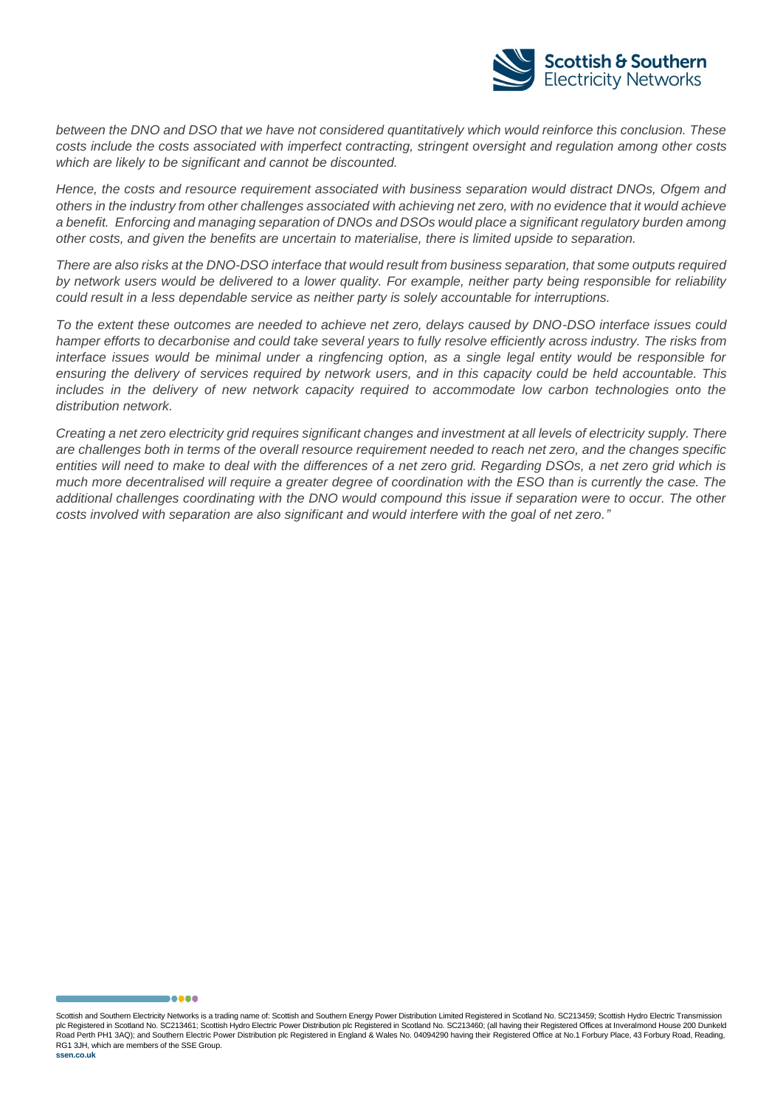![](_page_18_Picture_0.jpeg)

*between the DNO and DSO that we have not considered quantitatively which would reinforce this conclusion. These costs include the costs associated with imperfect contracting, stringent oversight and regulation among other costs which are likely to be significant and cannot be discounted.*

*Hence, the costs and resource requirement associated with business separation would distract DNOs, Ofgem and others in the industry from other challenges associated with achieving net zero, with no evidence that it would achieve a benefit. Enforcing and managing separation of DNOs and DSOs would place a significant regulatory burden among other costs, and given the benefits are uncertain to materialise, there is limited upside to separation.*

*There are also risks at the DNO-DSO interface that would result from business separation, that some outputs required by network users would be delivered to a lower quality. For example, neither party being responsible for reliability could result in a less dependable service as neither party is solely accountable for interruptions.* 

*To the extent these outcomes are needed to achieve net zero, delays caused by DNO-DSO interface issues could hamper efforts to decarbonise and could take several years to fully resolve efficiently across industry. The risks from interface issues would be minimal under a ringfencing option, as a single legal entity would be responsible for ensuring the delivery of services required by network users, and in this capacity could be held accountable. This includes in the delivery of new network capacity required to accommodate low carbon technologies onto the distribution network.* 

*Creating a net zero electricity grid requires significant changes and investment at all levels of electricity supply. There are challenges both in terms of the overall resource requirement needed to reach net zero, and the changes specific entities will need to make to deal with the differences of a net zero grid. Regarding DSOs, a net zero grid which is much more decentralised will require a greater degree of coordination with the ESO than is currently the case. The additional challenges coordinating with the DNO would compound this issue if separation were to occur. The other costs involved with separation are also significant and would interfere with the goal of net zero."*

Scottish and Southern Electricity Networks is a trading name of: Scottish and Southern Energy Power Distribution Limited Registered in Scotland No. SC213459; Scottish Hydro Electric Transmission plc Registered in Scotland No. SC213461; Scottish Hydro Electric Power Distribution plc Registered in Scotland No. SC213460; (all having their Registered Offices at Inveralmond House 200 Dunkeld Road Perth PH1 3AQ); and Southern Electric Power Distribution plc Registered in England & Wales No. 04094290 having their Registered Office at No.1 Forbury Place, 43 Forbury Road, Reading, RG1 3JH, which are members of the SSE Group.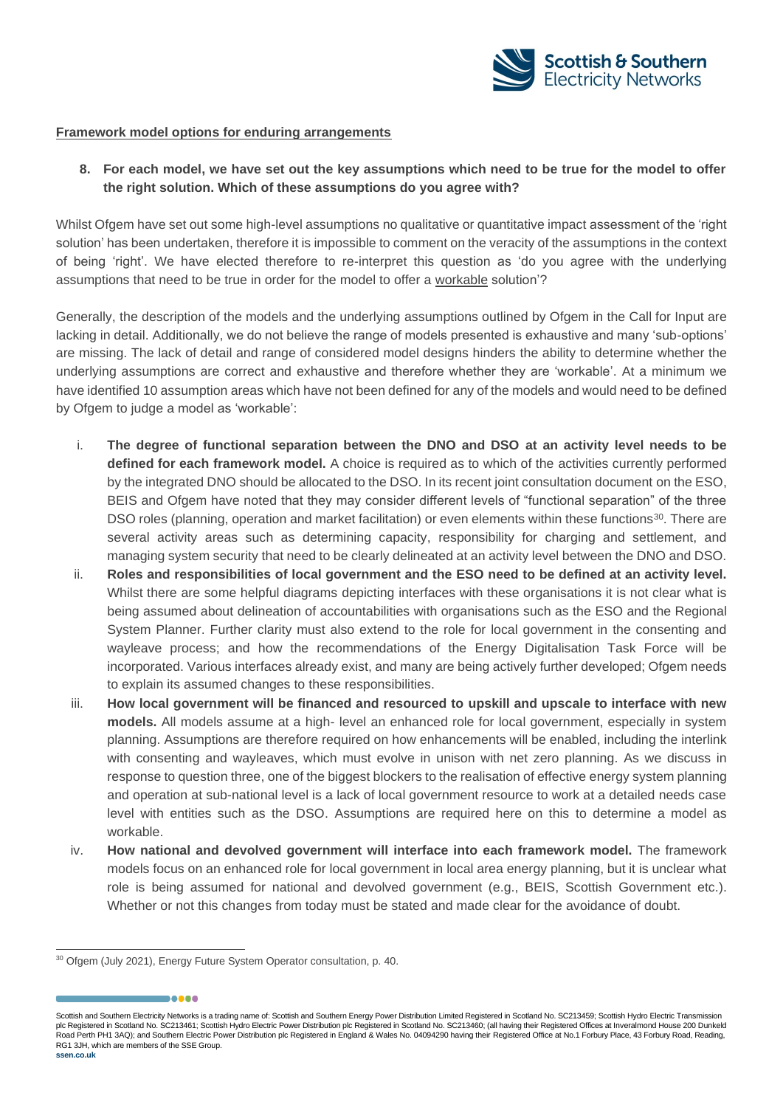![](_page_19_Picture_0.jpeg)

#### **Framework model options for enduring arrangements**

**8. For each model, we have set out the key assumptions which need to be true for the model to offer the right solution. Which of these assumptions do you agree with?**

Whilst Ofgem have set out some high-level assumptions no qualitative or quantitative impact assessment of the 'right solution' has been undertaken, therefore it is impossible to comment on the veracity of the assumptions in the context of being 'right'. We have elected therefore to re-interpret this question as 'do you agree with the underlying assumptions that need to be true in order for the model to offer a workable solution'?

Generally, the description of the models and the underlying assumptions outlined by Ofgem in the Call for Input are lacking in detail. Additionally, we do not believe the range of models presented is exhaustive and many 'sub-options' are missing. The lack of detail and range of considered model designs hinders the ability to determine whether the underlying assumptions are correct and exhaustive and therefore whether they are 'workable'. At a minimum we have identified 10 assumption areas which have not been defined for any of the models and would need to be defined by Ofgem to judge a model as 'workable':

- i. **The degree of functional separation between the DNO and DSO at an activity level needs to be defined for each framework model.** A choice is required as to which of the activities currently performed by the integrated DNO should be allocated to the DSO. In its recent joint consultation document on the ESO, BEIS and Ofgem have noted that they may consider different levels of "functional separation" of the three DSO roles (planning, operation and market facilitation) or even elements within these functions<sup>30</sup>. There are several activity areas such as determining capacity, responsibility for charging and settlement, and managing system security that need to be clearly delineated at an activity level between the DNO and DSO.
- ii. **Roles and responsibilities of local government and the ESO need to be defined at an activity level.** Whilst there are some helpful diagrams depicting interfaces with these organisations it is not clear what is being assumed about delineation of accountabilities with organisations such as the ESO and the Regional System Planner. Further clarity must also extend to the role for local government in the consenting and wayleave process; and how the recommendations of the Energy Digitalisation Task Force will be incorporated. Various interfaces already exist, and many are being actively further developed; Ofgem needs to explain its assumed changes to these responsibilities.
- iii. **How local government will be financed and resourced to upskill and upscale to interface with new models.** All models assume at a high- level an enhanced role for local government, especially in system planning. Assumptions are therefore required on how enhancements will be enabled, including the interlink with consenting and wayleaves, which must evolve in unison with net zero planning. As we discuss in response to question three, one of the biggest blockers to the realisation of effective energy system planning and operation at sub-national level is a lack of local government resource to work at a detailed needs case level with entities such as the DSO. Assumptions are required here on this to determine a model as workable.
- iv. **How national and devolved government will interface into each framework model.** The framework models focus on an enhanced role for local government in local area energy planning, but it is unclear what role is being assumed for national and devolved government (e.g., BEIS, Scottish Government etc.). Whether or not this changes from today must be stated and made clear for the avoidance of doubt.

.....

Scottish and Southern Electricity Networks is a trading name of: Scottish and Southern Energy Power Distribution Limited Registered in Scotland No. SC213459; Scottish Hydro Electric Transmission plc Registered in Scotland No. SC213461; Scottish Hydro Electric Power Distribution plc Registered in Scotland No. SC213460; (all having their Registered Offices at Inveralmond House 200 Dunkeld Road Perth PH1 3AQ); and Southern Electric Power Distribution plc Registered in England & Wales No. 04094290 having their Registered Office at No.1 Forbury Place, 43 Forbury Road, Reading, RG1 3JH, which are members of the SSE Group. **ssen.co.uk**

<sup>30</sup> Ofgem (July 2021), Energy Future System Operator consultation, p. 40.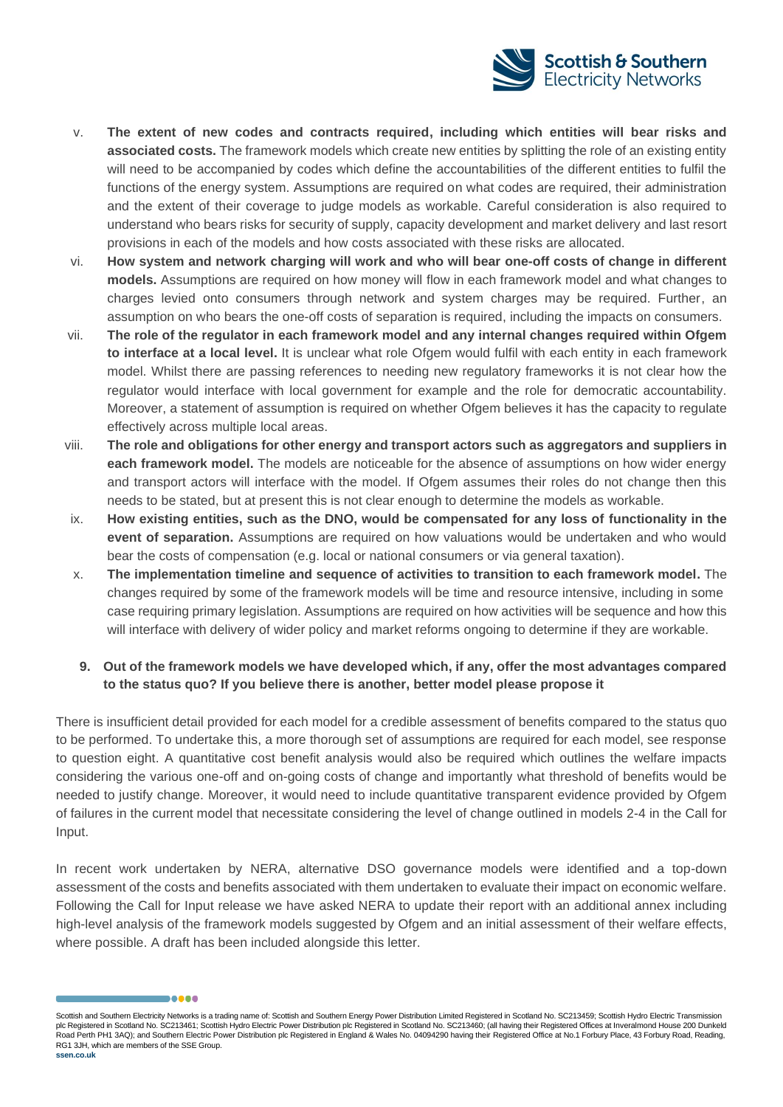![](_page_20_Picture_0.jpeg)

- v. **The extent of new codes and contracts required, including which entities will bear risks and associated costs.** The framework models which create new entities by splitting the role of an existing entity will need to be accompanied by codes which define the accountabilities of the different entities to fulfil the functions of the energy system. Assumptions are required on what codes are required, their administration and the extent of their coverage to judge models as workable. Careful consideration is also required to understand who bears risks for security of supply, capacity development and market delivery and last resort provisions in each of the models and how costs associated with these risks are allocated.
- vi. **How system and network charging will work and who will bear one-off costs of change in different models.** Assumptions are required on how money will flow in each framework model and what changes to charges levied onto consumers through network and system charges may be required. Further, an assumption on who bears the one-off costs of separation is required, including the impacts on consumers.
- vii. **The role of the regulator in each framework model and any internal changes required within Ofgem to interface at a local level.** It is unclear what role Ofgem would fulfil with each entity in each framework model. Whilst there are passing references to needing new regulatory frameworks it is not clear how the regulator would interface with local government for example and the role for democratic accountability. Moreover, a statement of assumption is required on whether Ofgem believes it has the capacity to regulate effectively across multiple local areas.
- viii. **The role and obligations for other energy and transport actors such as aggregators and suppliers in each framework model.** The models are noticeable for the absence of assumptions on how wider energy and transport actors will interface with the model. If Ofgem assumes their roles do not change then this needs to be stated, but at present this is not clear enough to determine the models as workable.
- ix. **How existing entities, such as the DNO, would be compensated for any loss of functionality in the event of separation.** Assumptions are required on how valuations would be undertaken and who would bear the costs of compensation (e.g. local or national consumers or via general taxation).
- x. **The implementation timeline and sequence of activities to transition to each framework model.** The changes required by some of the framework models will be time and resource intensive, including in some case requiring primary legislation. Assumptions are required on how activities will be sequence and how this will interface with delivery of wider policy and market reforms ongoing to determine if they are workable.

## **9. Out of the framework models we have developed which, if any, offer the most advantages compared to the status quo? If you believe there is another, better model please propose it**

There is insufficient detail provided for each model for a credible assessment of benefits compared to the status quo to be performed. To undertake this, a more thorough set of assumptions are required for each model, see response to question eight. A quantitative cost benefit analysis would also be required which outlines the welfare impacts considering the various one-off and on-going costs of change and importantly what threshold of benefits would be needed to justify change. Moreover, it would need to include quantitative transparent evidence provided by Ofgem of failures in the current model that necessitate considering the level of change outlined in models 2-4 in the Call for Input.

In recent work undertaken by NERA, alternative DSO governance models were identified and a top-down assessment of the costs and benefits associated with them undertaken to evaluate their impact on economic welfare. Following the Call for Input release we have asked NERA to update their report with an additional annex including high-level analysis of the framework models suggested by Ofgem and an initial assessment of their welfare effects, where possible. A draft has been included alongside this letter.

Scottish and Southern Electricity Networks is a trading name of: Scottish and Southern Energy Power Distribution Limited Registered in Scotland No. SC213459; Scottish Hydro Electric Transmission plc Registered in Scotland No. SC213461; Scottish Hydro Electric Power Distribution plc Registered in Scotland No. SC213460; (all having their Registered Offices at Inveralmond House 200 Dunkeld Road Perth PH1 3AQ); and Southern Electric Power Distribution plc Registered in England & Wales No. 04094290 having their Registered Office at No.1 Forbury Place, 43 Forbury Road, Reading, RG1 3JH, which are members of the SSE Group. **ssen.co.uk**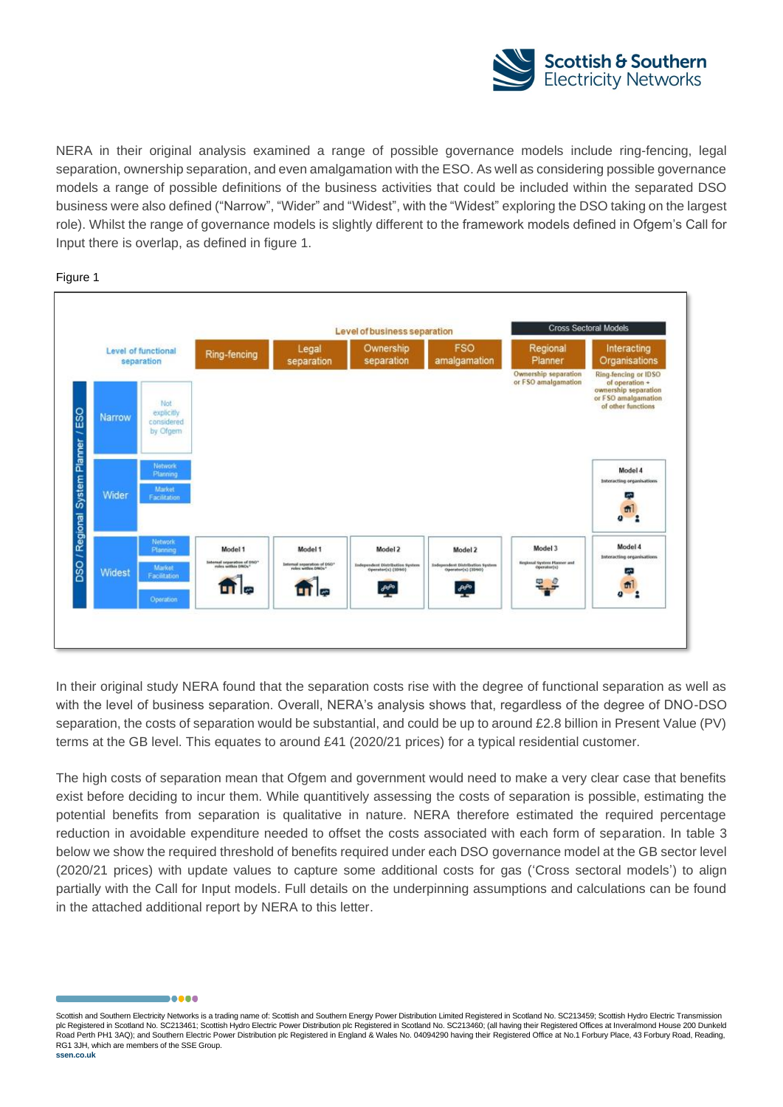![](_page_21_Picture_0.jpeg)

NERA in their original analysis examined a range of possible governance models include ring-fencing, legal separation, ownership separation, and even amalgamation with the ESO. As well as considering possible governance models a range of possible definitions of the business activities that could be included within the separated DSO business were also defined ("Narrow", "Wider" and "Widest", with the "Widest" exploring the DSO taking on the largest role). Whilst the range of governance models is slightly different to the framework models defined in Ofgem's Call for Input there is overlap, as defined in figure 1.

#### Figure 1

![](_page_21_Figure_3.jpeg)

In their original study NERA found that the separation costs rise with the degree of functional separation as well as with the level of business separation. Overall, NERA's analysis shows that, regardless of the degree of DNO-DSO separation, the costs of separation would be substantial, and could be up to around £2.8 billion in Present Value (PV) terms at the GB level. This equates to around £41 (2020/21 prices) for a typical residential customer.

The high costs of separation mean that Ofgem and government would need to make a very clear case that benefits exist before deciding to incur them. While quantitively assessing the costs of separation is possible, estimating the potential benefits from separation is qualitative in nature. NERA therefore estimated the required percentage reduction in avoidable expenditure needed to offset the costs associated with each form of separation. In table 3 below we show the required threshold of benefits required under each DSO governance model at the GB sector level (2020/21 prices) with update values to capture some additional costs for gas ('Cross sectoral models') to align partially with the Call for Input models. Full details on the underpinning assumptions and calculations can be found in the attached additional report by NERA to this letter.

Scottish and Southern Electricity Networks is a trading name of: Scottish and Southern Energy Power Distribution Limited Registered in Scotland No. SC213459; Scottish Hydro Electric Transmission plc Registered in Scotland No. SC213461; Scottish Hydro Electric Power Distribution plc Registered in Scotland No. SC213460; (all having their Registered Offices at Inveralmond House 200 Dunkeld Road Perth PH1 3AQ); and Southern Electric Power Distribution plc Registered in England & Wales No. 04094290 having their Registered Office at No.1 Forbury Place, 43 Forbury Road, Reading, RG1 3JH, which are members of the SSE Group.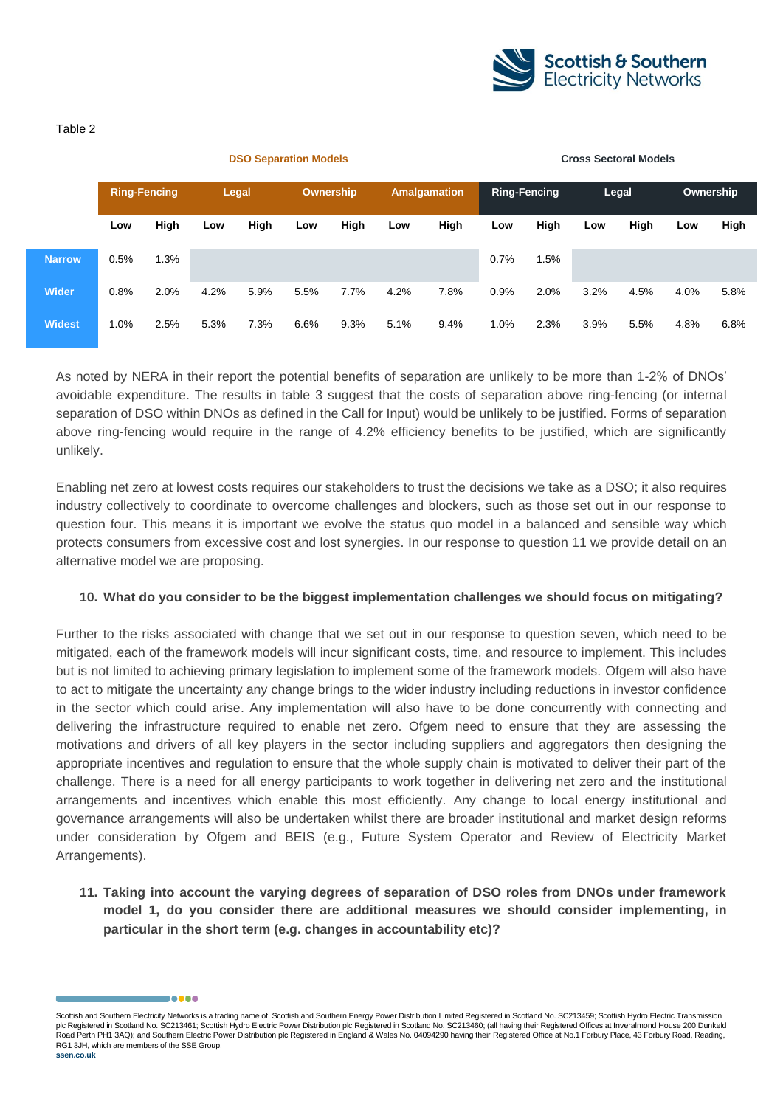![](_page_22_Picture_0.jpeg)

#### Table 2

|               |      | <b>Ring-Fencing</b> |      | Legal |      | Ownership |      | <b>Amalgamation</b> |      | <b>Ring-Fencing</b> |      | Legal |      | Ownership |
|---------------|------|---------------------|------|-------|------|-----------|------|---------------------|------|---------------------|------|-------|------|-----------|
|               | Low  | High                | Low  | High  | Low  | High      | Low  | High                | Low  | High                | Low  | High  | Low  | High      |
| <b>Narrow</b> | 0.5% | 1.3%                |      |       |      |           |      |                     | 0.7% | 1.5%                |      |       |      |           |
| <b>Wider</b>  | 0.8% | 2.0%                | 4.2% | 5.9%  | 5.5% | 7.7%      | 4.2% | 7.8%                | 0.9% | 2.0%                | 3.2% | 4.5%  | 4.0% | 5.8%      |
| <b>Widest</b> | 1.0% | 2.5%                | 5.3% | 7.3%  | 6.6% | 9.3%      | 5.1% | 9.4%                | 1.0% | 2.3%                | 3.9% | 5.5%  | 4.8% | 6.8%      |

**DSO Separation Models Cross Sectoral Models** 

As noted by NERA in their report the potential benefits of separation are unlikely to be more than 1-2% of DNOs' avoidable expenditure. The results in table 3 suggest that the costs of separation above ring-fencing (or internal separation of DSO within DNOs as defined in the Call for Input) would be unlikely to be justified. Forms of separation above ring-fencing would require in the range of 4.2% efficiency benefits to be justified, which are significantly unlikely.

Enabling net zero at lowest costs requires our stakeholders to trust the decisions we take as a DSO; it also requires industry collectively to coordinate to overcome challenges and blockers, such as those set out in our response to question four. This means it is important we evolve the status quo model in a balanced and sensible way which protects consumers from excessive cost and lost synergies. In our response to question 11 we provide detail on an alternative model we are proposing.

## **10. What do you consider to be the biggest implementation challenges we should focus on mitigating?**

Further to the risks associated with change that we set out in our response to question seven, which need to be mitigated, each of the framework models will incur significant costs, time, and resource to implement. This includes but is not limited to achieving primary legislation to implement some of the framework models. Ofgem will also have to act to mitigate the uncertainty any change brings to the wider industry including reductions in investor confidence in the sector which could arise. Any implementation will also have to be done concurrently with connecting and delivering the infrastructure required to enable net zero. Ofgem need to ensure that they are assessing the motivations and drivers of all key players in the sector including suppliers and aggregators then designing the appropriate incentives and regulation to ensure that the whole supply chain is motivated to deliver their part of the challenge. There is a need for all energy participants to work together in delivering net zero and the institutional arrangements and incentives which enable this most efficiently. Any change to local energy institutional and governance arrangements will also be undertaken whilst there are broader institutional and market design reforms under consideration by Ofgem and BEIS (e.g., Future System Operator and Review of Electricity Market Arrangements).

**11. Taking into account the varying degrees of separation of DSO roles from DNOs under framework model 1, do you consider there are additional measures we should consider implementing, in particular in the short term (e.g. changes in accountability etc)?**

Scottish and Southern Electricity Networks is a trading name of: Scottish and Southern Energy Power Distribution Limited Registered in Scotland No. SC213459; Scottish Hydro Electric Transmission plc Registered in Scotland No. SC213461; Scottish Hydro Electric Power Distribution plc Registered in Scotland No. SC213460; (all having their Registered Offices at Inveralmond House 200 Dunkeld Road Perth PH1 3AQ); and Southern Electric Power Distribution plc Registered in England & Wales No. 04094290 having their Registered Office at No.1 Forbury Place, 43 Forbury Road, Reading, RG1 3JH, which are members of the SSE Group.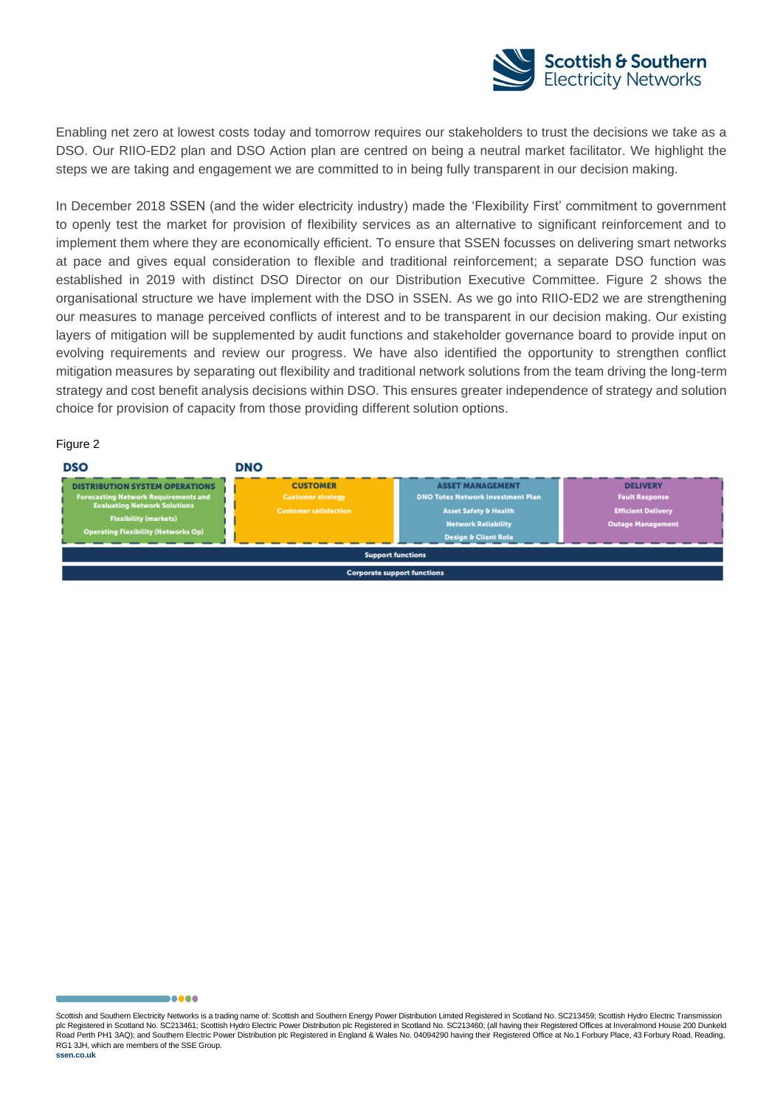![](_page_23_Picture_0.jpeg)

Enabling net zero at lowest costs today and tomorrow requires our stakeholders to trust the decisions we take as a DSO. Our RIIO-ED2 plan and DSO Action plan are centred on being a neutral market facilitator. We highlight the steps we are taking and engagement we are committed to in being fully transparent in our decision making.

In December 2018 SSEN (and the wider electricity industry) made the 'Flexibility First' commitment to government to openly test the market for provision of flexibility services as an alternative to significant reinforcement and to implement them where they are economically efficient. To ensure that SSEN focusses on delivering smart networks at pace and gives equal consideration to flexible and traditional reinforcement; a separate DSO function was established in 2019 with distinct DSO Director on our Distribution Executive Committee. Figure 2 shows the organisational structure we have implement with the DSO in SSEN. As we go into RIIO-ED2 we are strengthening our measures to manage perceived conflicts of interest and to be transparent in our decision making. Our existing layers of mitigation will be supplemented by audit functions and stakeholder governance board to provide input on evolving requirements and review our progress. We have also identified the opportunity to strengthen conflict mitigation measures by separating out flexibility and traditional network solutions from the team driving the long-term strategy and cost benefit analysis decisions within DSO. This ensures greater independence of strategy and solution choice for provision of capacity from those providing different solution options.

#### Figure 2

| <b>DSO</b>                                                                                                                                                                                                | <b>DNO</b>                                                                  |                                                                                                                                                                          |                                                                                                   |  |  |  |  |
|-----------------------------------------------------------------------------------------------------------------------------------------------------------------------------------------------------------|-----------------------------------------------------------------------------|--------------------------------------------------------------------------------------------------------------------------------------------------------------------------|---------------------------------------------------------------------------------------------------|--|--|--|--|
| <b>DISTRIBUTION SYSTEM OPERATIONS</b><br><b>Forecasting Network Requirements and</b><br><b>Evaluating Network Solutions</b><br><b>Flexibility (markets)</b><br><b>Operating Flexibility (Networks Op)</b> | <b>CUSTOMER</b><br><b>Customer strategy</b><br><b>Customer satisfaction</b> | <b>ASSET MANAGEMENT</b><br><b>DNO Totex Network Investment Plan</b><br><b>Asset Safety &amp; Health</b><br><b>Network Reliability</b><br><b>Design &amp; Client Role</b> | <b>DELIVERY</b><br><b>Fault Response</b><br><b>Efficient Delivery</b><br><b>Outage Management</b> |  |  |  |  |
| <b>Support functions</b>                                                                                                                                                                                  |                                                                             |                                                                                                                                                                          |                                                                                                   |  |  |  |  |
| <b>Corporate support functions</b>                                                                                                                                                                        |                                                                             |                                                                                                                                                                          |                                                                                                   |  |  |  |  |

Scottish and Southern Electricity Networks is a trading name of: Scottish and Southern Energy Power Distribution Limited Registered in Scotland No. SC213459; Scottish Hydro Electric Transmission plc Registered in Scotland No. SC213461; Scottish Hydro Electric Power Distribution plc Registered in Scotland No. SC213460; (all having their Registered Offices at Inveralmond House 200 Dunkeld Road Perth PH1 3AQ); and Southern Electric Power Distribution plc Registered in England & Wales No. 04094290 having their Registered Office at No.1 Forbury Place, 43 Forbury Road, Reading, RG1 3JH, which are members of the SSE Group.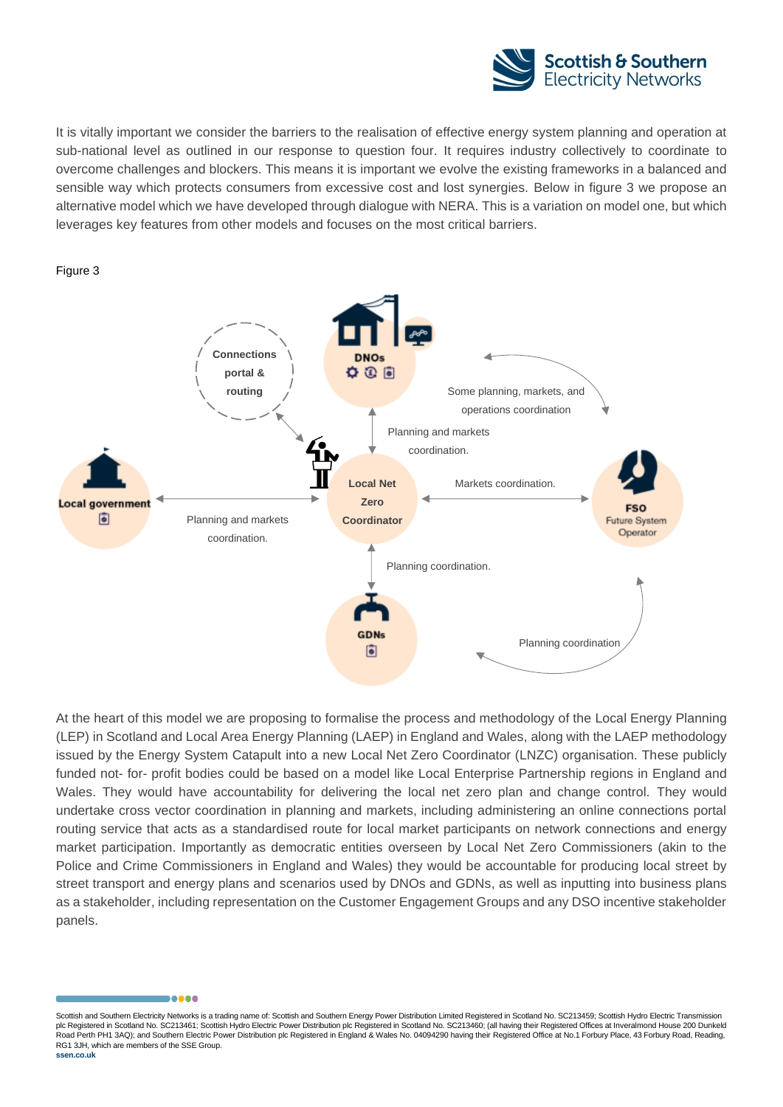![](_page_24_Picture_0.jpeg)

It is vitally important we consider the barriers to the realisation of effective energy system planning and operation at sub-national level as outlined in our response to question four. It requires industry collectively to coordinate to overcome challenges and blockers. This means it is important we evolve the existing frameworks in a balanced and sensible way which protects consumers from excessive cost and lost synergies. Below in figure 3 we propose an alternative model which we have developed through dialogue with NERA. This is a variation on model one, but which leverages key features from other models and focuses on the most critical barriers.

![](_page_24_Figure_2.jpeg)

![](_page_24_Figure_3.jpeg)

At the heart of this model we are proposing to formalise the process and methodology of the Local Energy Planning (LEP) in Scotland and Local Area Energy Planning (LAEP) in England and Wales, along with the LAEP methodology issued by the Energy System Catapult into a new Local Net Zero Coordinator (LNZC) organisation. These publicly funded not- for- profit bodies could be based on a model like Local Enterprise Partnership regions in England and Wales. They would have accountability for delivering the local net zero plan and change control. They would undertake cross vector coordination in planning and markets, including administering an online connections portal routing service that acts as a standardised route for local market participants on network connections and energy market participation. Importantly as democratic entities overseen by Local Net Zero Commissioners (akin to the Police and Crime Commissioners in England and Wales) they would be accountable for producing local street by street transport and energy plans and scenarios used by DNOs and GDNs, as well as inputting into business plans as a stakeholder, including representation on the Customer Engagement Groups and any DSO incentive stakeholder panels.

Scottish and Southern Electricity Networks is a trading name of: Scottish and Southern Energy Power Distribution Limited Registered in Scotland No. SC213459; Scottish Hydro Electric Transmission plc Registered in Scotland No. SC213461; Scottish Hydro Electric Power Distribution plc Registered in Scotland No. SC213460; (all having their Registered Offices at Inveralmond House 200 Dunkeld Road Perth PH1 3AQ); and Southern Electric Power Distribution plc Registered in England & Wales No. 04094290 having their Registered Office at No.1 Forbury Place, 43 Forbury Road, Reading, RG1 3JH, which are members of the SSE Group.